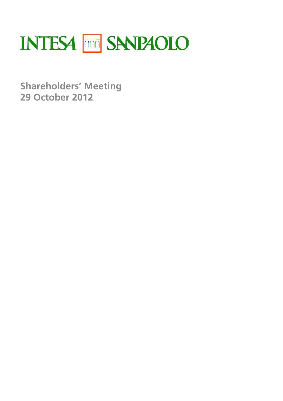

**Shareholders' Meeting 29 October 2012**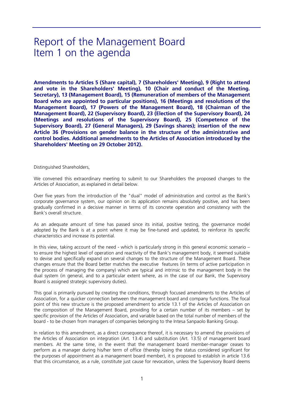# Report of the Management Board Item 1 on the agenda

**Amendments to Articles 5 (Share capital), 7 (Shareholders' Meeting), 9 (Right to attend and vote in the Shareholders' Meeting), 10 (Chair and conduct of the Meeting. Secretary), 13 (Management Board), 15 (Remuneration of members of the Management Board who are appointed to particular positions), 16 (Meetings and resolutions of the Management Board), 17 (Powers of the Management Board), 18 (Chairman of the Management Board), 22 (Supervisory Board), 23 (Election of the Supervisory Board), 24 (Meetings and resolutions of the Supervisory Board), 25 (Competence of the Supervisory Board), 27 (General Managers), 29 (Savings shares); insertion of the new Article 36 (Provisions on gender balance in the structure of the administrative and control bodies. Additional amendments to the Articles of Association introduced by the Shareholders' Meeting on 29 October 2012).**

Distinguished Shareholders,

We convened this extraordinary meeting to submit to our Shareholders the proposed changes to the Articles of Association, as explained in detail below.

Over five years from the introduction of the "dual" model of administration and control as the Bank's corporate governance system, our opinion on its application remains absolutely positive, and has been gradually confirmed in a decisive manner in terms of its concrete operation and consistency with the Bank's overall structure.

As an adequate amount of time has passed since its initial, positive testing, the governance model adopted by the Bank is at a point where it may be fine-tuned and updated, to reinforce its specific characteristics and increase its potential.

In this view, taking account of the need - which is particularly strong in this general economic scenario – to ensure the highest level of operation and reactivity of the Bank's management body, it seemed suitable to devise and specifically expand on several changes to the structure of the Management Board. These changes ensure that the Board better matches the executive features (in terms of active participation in the process of managing the company) which are typical and intrinsic to the management body in the dual system (in general, and to a particular extent where, as in the case of our Bank, the Supervisory Board is assigned strategic supervisory duties).

This goal is primarily pursued by creating the conditions, through focused amendments to the Articles of Association, for a quicker connection between the management board and company functions. The focal point of this new structure is the proposed amendment to article 13.1 of the Articles of Association on the composition of the Management Board, providing for a certain number of its members – set by specific provision of the Articles of Association, and variable based on the total number of members of the board - to be chosen from managers of companies belonging to the Intesa Sanpaolo Banking Group.

In relation to this amendment, as a direct consequence thereof, it is necessary to amend the provisions of the Articles of Association on integration (Art. 13.4) and substitution (Art. 13.5) of management board members. At the same time, in the event that the management board member-manager ceases to perform as a manager during his/her term of office (thereby losing the status considered significant for the purposes of appointment as a management board member), it is proposed to establish in article 13.6 that this circumstance, as a rule, constitute just cause for revocation, unless the Supervisory Board deems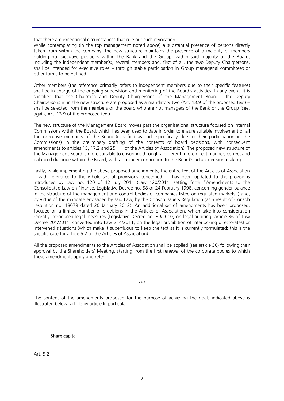that there are exceptional circumstances that rule out such revocation.

While contemplating (in the top management noted above) a substantial presence of persons directly taken from within the company, the new structure maintains the presence of a majority of members holding no executive positions within the Bank and the Group: within said majority of the Board, including the independent member(s), several members and, first of all, the two Deputy Chairpersons, shall be intended for executive roles – through stable participation in Group managerial committees or other forms to be defined.

Other members (the reference primarily refers to independent members due to their specific features) shall be in charge of the ongoing supervision and monitoring of the Board's activities. In any event, it is specified that the Chairman and Deputy Chairpersons of the Management Board - the Deputy Chairpersons in in the new structure are proposed as a mandatory two (Art. 13.9 of the proposed text) – shall be selected from the members of the board who are not managers of the Bank or the Group (see, again, Art. 13.9 of the proposed text).

The new structure of the Management Board moves past the organisational structure focused on internal Commissions within the Board, which has been used to date in order to ensure suitable involvement of all the executive members of the Board (classified as such specifically due to their participation in the Commissions) in the preliminary drafting of the contents of board decisions, with consequent amendments to articles 15, 17.2 and 25.1.1 of the Articles of Association). The proposed new structure of the Management Board is more suitable to ensuring, through a different, more direct manner, correct and balanced dialogue within the Board, with a stronger connection to the Board's actual decision making.

Lastly, while implementing the above proposed amendments, the entire text of the Articles of Association – with reference to the whole set of provisions concerned – has been updated to the provisions introduced by Law no. 120 of 12 July 2011 (Law 120/2011, setting forth "Amendments to the Consolidated Law on Finance, Legislative Decree no. 58 of 24 February 1998, concerning gender balance in the structure of the management and control bodies of companies listed on regulated markets") and, by virtue of the mandate envisaged by said Law, by the Consob Issuers Regulation (as a result of Consob resolution no. 18079 dated 20 January 2012). An additional set of amendments has been proposed, focused on a limited number of provisions in the Articles of Association, which take into consideration recently introduced legal measures (Legislative Decree no. 39/2010, on legal auditing; article 36 of Law Decree 201/2011, converted into Law 214/2011, on the legal prohibition of interlocking directorates) or intervened situations (which make it superfluous to keep the text as it is currently formulated: this is the specific case for article 5.2 of the Articles of Association).

All the proposed amendments to the Articles of Association shall be applied (see article 36) following their approval by the Shareholders' Meeting, starting from the first renewal of the corporate bodies to which these amendments apply and refer.

\*\*\*

The content of the amendments proposed for the purpose of achieving the goals indicated above is illustrated below, article by article In particular:

#### **-** Share capital

Art. 5.2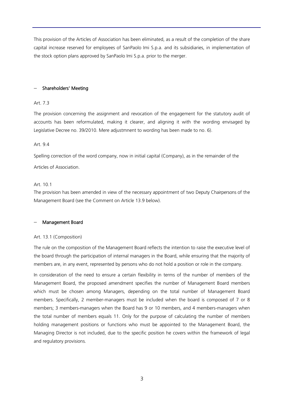This provision of the Articles of Association has been eliminated, as a result of the completion of the share capital increase reserved for employees of SanPaolo Imi S.p.a. and its subsidiaries, in implementation of the stock option plans approved by SanPaolo Imi S.p.a. prior to the merger.

#### − Shareholders' Meeting

#### Art. 7.3

The provision concerning the assignment and revocation of the engagement for the statutory audit of accounts has been reformulated, making it clearer, and aligning it with the wording envisaged by Legislative Decree no. 39/2010. Mere adjustmnent to wording has been made to no. 6).

#### Art. 9.4

Spelling correction of the word company, now in initial capital (Company), as in the remainder of the

Articles of Association.

#### Art. 10.1

The provision has been amended in view of the necessary appointment of two Deputy Chairpersons of the Management Board (see the Comment on Article 13.9 below).

#### − Management Board

#### Art. 13.1 (Composition)

The rule on the composition of the Management Board reflects the intention to raise the executive level of the board through the participation of internal managers in the Board, while ensuring that the majority of members are, in any event, represented by persons who do not hold a position or role in the company.

In consideration of the need to ensure a certain flexibility in terms of the number of members of the Management Board, the proposed amendment specifies the number of Management Board members which must be chosen among Managers, depending on the total number of Management Board members. Specifically, 2 member-managers must be included when the board is composed of 7 or 8 members; 3 members-managers when the Board has 9 or 10 members, and 4 members-managers when the total number of members equals 11. Only for the purpose of calculating the number of members holding management positions or functions who must be appointed to the Management Board, the Managing Director is not included, due to the specific position he covers within the framework of legal and regulatory provisions.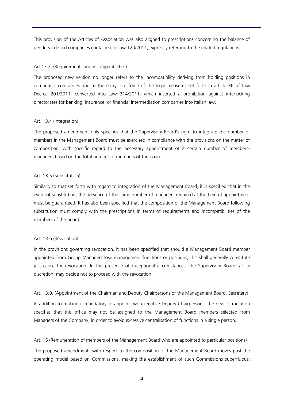This provision of the Articles of Association was also aligned to prescriptions concerning the balance of genders in listed companies contained in Law 120/2011, expressly referring to the related regulations.

#### Art 13.2. (Requirements and incompatibilities)

The proposed new version no longer refers to the incompatibility deriving from holding positions in competitor companies due to the entry into force of the legal measures set forth in article 36 of Law Decree 201/2011, converted into Law 214/2011, which inserted a prohibition against interlocking directorates for banking, insurance, or financial intermediation companies into Italian law.

#### Art. 13.4 (Integration)

The proposed amendment only specifies that the Supervisory Board's right to integrate the number of members in the Management Board must be exercised in compliance with the provisions on the matter of composition, with specific regard to the necessary appointment of a certain number of membersmanagers based on the total number of members of the board.

### Art. 13.5 (Substitution)

Similarly to that set forth with regard to integration of the Management Board, it is specified that in the event of substitution, the presence of the same number of managers required at the time of appointment must be guaranteed. It has also been specified that the composition of the Management Board following substitution must comply with the prescriptions in terms of requirements and incompatibilities of the members of the board.

### Art. 13.6 (Revocation)

In the provisions governing revocation, it has been specified that should a Management Board member appointed from Group Managers lose management functions or positions, this shall generally constitute just cause for revocation. In the presence of exceptional circumstances, the Supervisory Board, at its discretion, may decide not to proceed with the revocation.

Art. 13.9. (Appointment of the Chairman and Deputy Chairpersons of the Management Board. Secretary)

In addition to making it mandatory to appoint two executive Deputy Chairpersons, the new formulation specifies that this office may not be assigned to the Management Board members selected from Managers of the Company, in order to avoid excessive centralisation of functions in a single person.

Art. 15 (Remuneration of members of the Management Board who are appointed to particular positions)

The proposed amendments with respect to the composition of the Management Board moves past the operating model based on Commissions, making the establishment of such Commissions superfluous: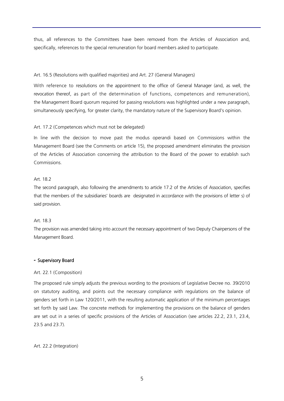thus, all references to the Committees have been removed from the Articles of Association and, specifically, references to the special remuneration for board members asked to participate.

#### Art. 16.5 (Resolutions with qualified majorities) and Art. 27 (General Managers)

With reference to resolutions on the appointment to the office of General Manager (and, as well, the revocation thereof, as part of the determination of functions, competences and remuneration), the Management Board quorum required for passing resolutions was highlighted under a new paragraph, simultaneously specifying, for greater clarity, the mandatory nature of the Supervisory Board's opinion.

#### Art. 17.2 (Competences which must not be delegated)

In line with the decision to move past the modus operandi based on Commissions within the Management Board (see the Comments on article 15), the proposed amendment eliminates the provision of the Articles of Association concerning the attribution to the Board of the power to establish such Commissions.

#### Art. 18.2

The second paragraph, also following the amendments to article 17.2 of the Articles of Association, specifies that the members of the subsidiaries' boards are designated in accordance with the provisions of letter s) of said provision.

#### Art. 18.3

The provision was amended taking into account the necessary appointment of two Deputy Chairpersons of the Management Board.

#### **-** Supervisory Board

#### Art. 22.1 (Composition)

The proposed rule simply adjusts the previous wording to the provisions of Legislative Decree no. 39/2010 on statutory auditing, and points out the necessary compliance with regulations on the balance of genders set forth in Law 120/2011, with the resulting automatic application of the minimum percentages set forth by said Law. The concrete methods for implementing the provisions on the balance of genders are set out in a series of specific provisions of the Articles of Association (see articles 22.2, 23.1, 23.4, 23.5 and 23.7).

#### Art. 22.2 (Integration)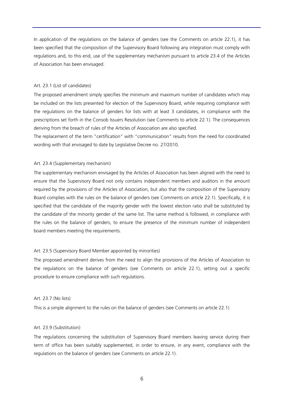In application of the regulations on the balance of genders (see the Comments on article 22.1), it has been specified that the composition of the Supervisory Board following any integration must comply with regulations and, to this end, use of the supplementary mechanism pursuant to article 23.4 of the Articles of Association has been envisaged.

#### Art. 23.1 (List of candidates)

The proposed amendment simply specifies the minimum and maximum number of candidates which may be included on the lists presented for election of the Supervisory Board, while requiring compliance with the regulations on the balance of genders for lists with at least 3 candidates, in compliance with the prescriptions set forth in the Consob Issuers Resolution (see Comments to article 22.1). The consequences deriving from the breach of rules of the Articles of Association are also specified.

The replacement of the term "certification" with "communication" results from the need for coordinated wording with that envisaged to date by Legislative Decree no. 27/2010.

#### Art. 23.4 (Supplementary mechanism)

The supplementary mechanism envisaged by the Articles of Association has been aligned with the need to ensure that the Supervisory Board not only contains independent members and auditors in the amount required by the provisions of the Articles of Association, but also that the composition of the Supervisory Board complies with the rules on the balance of genders (see Comments on article 22.1). Specifically, it is specified that the candidate of the majority gender with the lowest election ratio shall be substituted by the candidate of the minority gender of the same list. The same method is followed, in compliance with the rules on the balance of genders, to ensure the presence of the minimum number of independent board members meeting the requirements.

#### Art. 23.5 (Supervisory Board Member appointed by minorities)

The proposed amendment derives from the need to align the provisions of the Articles of Association to the regulations on the balance of genders (see Comments on article 22.1), setting out a specific procedure to ensure compliance with such regulations.

#### Art. 23.7 (No lists)

This is a simple alignment to the rules on the balance of genders (see Comments on article 22.1)

#### Art. 23.9 (Substitution)

The regulations concerning the substitution of Supervisory Board members leaving service during their term of office has been suitably supplemented, in order to ensure, in any event, compliance with the regulations on the balance of genders (see Comments on article 22.1).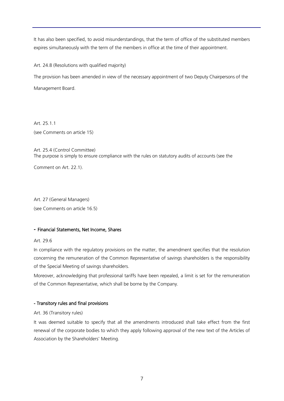It has also been specified, to avoid misunderstandings, that the term of office of the substituted members expires simultaneously with the term of the members in office at the time of their appointment.

Art. 24.8 (Resolutions with qualified majority)

The provision has been amended in view of the necessary appointment of two Deputy Chairpersons of the Management Board.

Art. 25.1.1 (see Comments on article 15)

Art. 25.4 (Control Committee) The purpose is simply to ensure compliance with the rules on statutory audits of accounts (see the

Comment on Art. 22.1).

Art. 27 (General Managers) (see Comments on article 16.5)

### **-** Financial Statements, Net Income, Shares

#### Art. 29.6

In compliance with the regulatory provisions on the matter, the amendment specifies that the resolution concerning the remuneration of the Common Representative of savings shareholders is the responsibility of the Special Meeting of savings shareholders.

Moreover, acknowledging that professional tariffs have been repealed, a limit is set for the remuneration of the Common Representative, which shall be borne by the Company.

### - Transitory rules and final provisions

#### Art. 36 (Transitory rules)

It was deemed suitable to specify that all the amendments introduced shall take effect from the first renewal of the corporate bodies to which they apply following approval of the new text of the Articles of Association by the Shareholders' Meeting.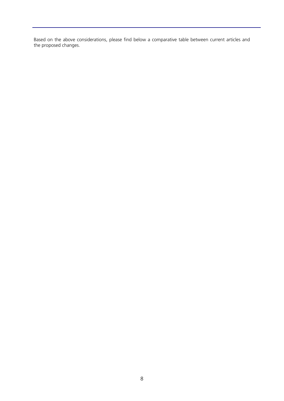Based on the above considerations, please find below a comparative table between current articles and the proposed changes.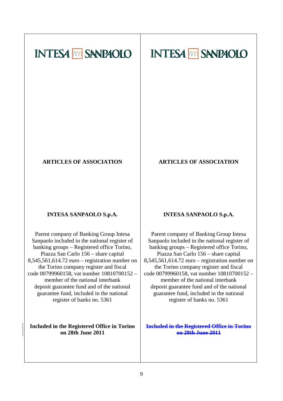# **INTESA MM SANPAOLO**



# **ARTICLES OF ASSOCIATION**

### **ARTICLES OF ASSOCIATION**

# **INTESA SANPAOLO S.p.A.**

Parent company of Banking Group Intesa Sanpaolo included in the national register of banking groups – Registered office Torino, Piazza San Carlo 156 – share capital 8,545,561,614.72 euro – registration number on the Torino company register and fiscal code 00799960158, vat number 10810700152 – member of the national interbank deposit guarantee fund and of the national guarantee fund, included in the national register of banks no. 5361

**Included in the Registered Office in Torino on 28th June 2011**

### **INTESA SANPAOLO S.p.A.**

Parent company of Banking Group Intesa Sanpaolo included in the national register of banking groups – Registered office Torino, Piazza San Carlo 156 – share capital 8,545,561,614.72 euro – registration number on the Torino company register and fiscal code 00799960158, vat number 10810700152 – member of the national interbank deposit guarantee fund and of the national guarantee fund, included in the national register of banks no. 5361

**Included in the Registered Office in Torino on 28th June 2011**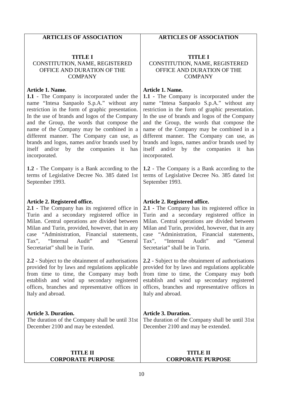### **ARTICLES OF ASSOCIATION**

### **TITLE I** CONSTITUTION, NAME, REGISTERED OFFICE AND DURATION OF THE **COMPANY**

#### **Article 1. Name.**

**1.1** - The Company is incorporated under the name "Intesa Sanpaolo S.p.A." without any restriction in the form of graphic presentation. In the use of brands and logos of the Company and the Group, the words that compose the name of the Company may be combined in a different manner. The Company can use, as brands and logos, names and/or brands used by itself and/or by the companies it has incorporated.

**1.2 -** The Company is a Bank according to the terms of Legislative Decree No. 385 dated 1st September 1993.

### **Article 2. Registered office.**

**2.1 -** The Company has its registered office in Turin and a secondary registered office in Milan. Central operations are divided between Milan and Turin, provided, however, that in any case "Administration, Financial statements,<br>Tax", "Internal Audit" and "General "Internal Audit" and "General Secretariat" shall be in Turin.

**2.2 -** Subject to the obtainment of authorisations provided for by laws and regulations applicable from time to time, the Company may both establish and wind up secondary registered offices, branches and representative offices in Italy and abroad.

### **Article 3. Duration.**

The duration of the Company shall be until 31st December 2100 and may be extended.

### **TITLE II CORPORATE PURPOSE**

### **ARTICLES OF ASSOCIATION**

### **TITLE I** CONSTITUTION, NAME, REGISTERED OFFICE AND DURATION OF THE **COMPANY**

### **Article 1. Name.**

**1.1 -** The Company is incorporated under the name "Intesa Sanpaolo S.p.A." without any restriction in the form of graphic presentation. In the use of brands and logos of the Company and the Group, the words that compose the name of the Company may be combined in a different manner. The Company can use, as brands and logos, names and/or brands used by itself and/or by the companies it has incorporated.

**1.2 -** The Company is a Bank according to the terms of Legislative Decree No. 385 dated 1st September 1993.

### **Article 2. Registered office.**

**2.1 -** The Company has its registered office in Turin and a secondary registered office in Milan. Central operations are divided between Milan and Turin, provided, however, that in any case "Administration, Financial statements,<br>Tax", "Internal Audit" and "General "Internal Audit" and "General Secretariat" shall be in Turin.

**2.2 -** Subject to the obtainment of authorisations provided for by laws and regulations applicable from time to time, the Company may both establish and wind up secondary registered offices, branches and representative offices in Italy and abroad.

# **Article 3. Duration.**

The duration of the Company shall be until 31st December 2100 and may be extended.

### **TITLE II CORPORATE PURPOSE**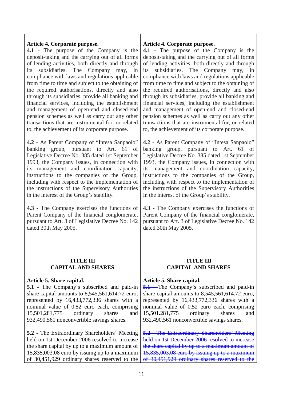### **Article 4. Corporate purpose.**

**4.1 -** The purpose of the Company is the deposit-taking and the carrying out of all forms of lending activities, both directly and through its subsidiaries. The Company may, in compliance with laws and regulations applicable from time to time and subject to the obtaining of the required authorisations, directly and also through its subsidiaries, provide all banking and financial services, including the establishment and management of open-end and closed-end pension schemes as well as carry out any other transactions that are instrumental for, or related to, the achievement of its corporate purpose.

**4.2 -** As Parent Company of "Intesa Sanpaolo" banking group, pursuant to Art. 61 of Legislative Decree No. 385 dated 1st September 1993, the Company issues, in connection with its management and coordination capacity, instructions to the companies of the Group, including with respect to the implementation of the instructions of the Supervisory Authorities in the interest of the Group's stability.

**4.3 -** The Company exercises the functions of Parent Company of the financial conglomerate, pursuant to Art. 3 of Legislative Decree No. 142 dated 30th May 2005.

### **TITLE III CAPITAL AND SHARES**

### **Article 5. Share capital.**

**5.1** - The Company's subscribed and paid-in share capital amounts to 8,545,561,614.72 euro, represented by 16,433,772,336 shares with a nominal value of 0.52 euro each, comprising 15,501,281,775 ordinary shares and 932,490,561 nonconvertible savings shares.

**5.2** - The Extraordinary Shareholders' Meeting held on 1st December 2006 resolved to increase the share capital by up to a maximum amount of 15,835,003.08 euro by issuing up to a maximum of 30,451,929 ordinary shares reserved to the

### **Article 4. Corporate purpose.**

**4.1 -** The purpose of the Company is the deposit-taking and the carrying out of all forms of lending activities, both directly and through its subsidiaries. The Company may, in compliance with laws and regulations applicable from time to time and subject to the obtaining of the required authorisations, directly and also through its subsidiaries, provide all banking and financial services, including the establishment and management of open-end and closed-end pension schemes as well as carry out any other transactions that are instrumental for, or related to, the achievement of its corporate purpose.

**4.2 -** As Parent Company of "Intesa Sanpaolo" banking group, pursuant to Art. 61 of Legislative Decree No. 385 dated 1st September 1993, the Company issues, in connection with its management and coordination capacity, instructions to the companies of the Group, including with respect to the implementation of the instructions of the Supervisory Authorities in the interest of the Group's stability.

**4.3 -** The Company exercises the functions of Parent Company of the financial conglomerate, pursuant to Art. 3 of Legislative Decree No. 142 dated 30th May 2005.

### **TITLE III CAPITAL AND SHARES**

### **Article 5. Share capital.**

5.1 - The Company's subscribed and paid-in share capital amounts to 8,545,561,614.72 euro, represented by 16,433,772,336 shares with a nominal value of 0.52 euro each, comprising 15,501.281,775 ordinary shares and 932,490,561 nonconvertible savings shares.

**5.2** - The Extraordinary Shareholders' Meeting held on 1st December 2006 resolved to increase the share capital by up to a maximum amount of 15,835,003.08 euro by issuing up to a maximum of 30,451,929 ordinary shares reserved to the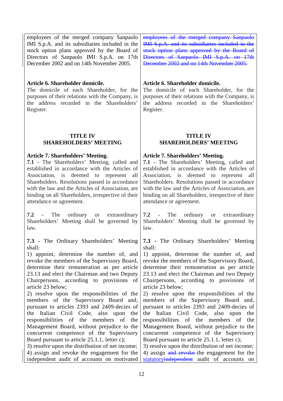employees of the merged company Sanpaolo IMI S.p.A. and its subsidiaries included in the stock option plans approved by the Board of Directors of Sanpaolo IMI S.p.A. on 17th December 2002 and on 14th November 2005.

### **Article 6. Shareholder domicile.**

The domicile of each Shareholder, for the purposes of their relations with the Company, is the address recorded in the Shareholders' Register.

### **TITLE IV SHAREHOLDERS' MEETING**

### **Article 7. Shareholders' Meeting.**

**7.1 -** The Shareholders' Meeting, called and established in accordance with the Articles of Association, is deemed to represent all Shareholders. Resolutions passed in accordance with the law and the Articles of Association, are binding on all Shareholders, irrespective of their attendance or agreement.

**7.2 -** The ordinary or extraordinary Shareholders' Meeting shall be governed by law.

**7.3 -** The Ordinary Shareholders' Meeting shall:

1) appoint, determine the number of, and revoke the members of the Supervisory Board, determine their remuneration as per article 23.13 and elect the Chairman and two Deputy Chairpersons, according to provisions of article 23 below;

2) resolve upon the responsibilities of the members of the Supervisory Board and, pursuant to articles 2393 and 2409-decies of the Italian Civil Code, also upon the responsibilities of the members of the Management Board, without prejudice to the concurrent competence of the Supervisory Board pursuant to article 25.1.1, letter c);

3) resolve upon the distribution of net income; 4) assign and revoke the engagement for the independent audit of accounts on motivated

employees of the merged company Sanpaolo IMI S.p.A. and its subsidiaries included in the stock option plans approved by the Board of Directors of Sanpaolo IMI S.p.A. on 17th December 2002 and on 14th November 2005.

### **Article 6. Shareholder domicile.**

The domicile of each Shareholder, for the purposes of their relations with the Company, is the address recorded in the Shareholders' Register.

### **TITLE IV SHAREHOLDERS' MEETING**

### **Article 7. Shareholders' Meeting.**

**7.1 -** The Shareholders' Meeting, called and established in accordance with the Articles of Association, is deemed to represent all Shareholders. Resolutions passed in accordance with the law and the Articles of Association, are binding on all Shareholders, irrespective of their attendance or agreement.

**7.2 -** The ordinary or extraordinary Shareholders' Meeting shall be governed by law.

**7.3 -** The Ordinary Shareholders' Meeting shall:

1) appoint, determine the number of, and revoke the members of the Supervisory Board, determine their remuneration as per article 23.13 and elect the Chairman and two Deputy Chairpersons, according to provisions of article 23 below;

2) resolve upon the responsibilities of the members of the Supervisory Board and, pursuant to articles 2393 and 2409-decies of the Italian Civil Code, also upon the responsibilities of the members of the Management Board, without prejudice to the concurrent competence of the Supervisory Board pursuant to article 25.1.1, letter c);

3) resolve upon the distribution of net income; 4) assign and revoke the engagement for the statutoryindependent audit of accounts on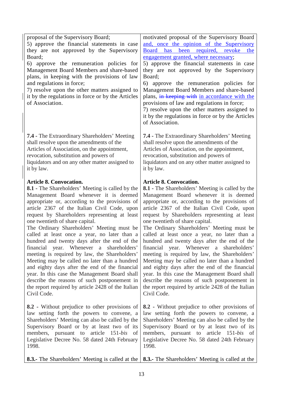| proposal of the Supervisory Board;                                                         | motivated proposal of the Supervisory Board                                                |
|--------------------------------------------------------------------------------------------|--------------------------------------------------------------------------------------------|
| 5) approve the financial statements in case                                                | and, once the opinion of the Supervisory                                                   |
| they are not approved by the Supervisory                                                   | Board has been required, revoke<br>the                                                     |
| Board;                                                                                     | engagement granted, where necessary;                                                       |
| 6) approve the remuneration policies for                                                   | 5) approve the financial statements in case                                                |
| Management Board Members and share-based                                                   | they are not approved by the Supervisory                                                   |
| plans, in keeping with the provisions of law                                               | Board;                                                                                     |
| and regulations in force;                                                                  | 6) approve the remuneration policies for                                                   |
| 7) resolve upon the other matters assigned to                                              | Management Board Members and share-based                                                   |
| it by the regulations in force or by the Articles                                          | plans, in keeping with in accordance with the                                              |
| of Association.                                                                            | provisions of law and regulations in force;                                                |
|                                                                                            | 7) resolve upon the other matters assigned to                                              |
|                                                                                            | it by the regulations in force or by the Articles<br>of Association.                       |
|                                                                                            |                                                                                            |
| <b>7.4 - The Extraordinary Shareholders' Meeting</b>                                       | <b>7.4 - The Extraordinary Shareholders' Meeting</b>                                       |
| shall resolve upon the amendments of the                                                   | shall resolve upon the amendments of the                                                   |
| Articles of Association, on the appointment,                                               | Articles of Association, on the appointment,                                               |
| revocation, substitution and powers of                                                     | revocation, substitution and powers of                                                     |
| liquidators and on any other matter assigned to                                            | liquidators and on any other matter assigned to                                            |
| it by law.                                                                                 | it by law.                                                                                 |
| <b>Article 8. Convocation.</b>                                                             | <b>Article 8. Convocation.</b>                                                             |
| <b>8.1 - The Shareholders' Meeting is called by the</b>                                    | <b>8.1 - The Shareholders' Meeting is called by the</b>                                    |
| Management Board whenever it is deemed                                                     | Management Board whenever it is deemed                                                     |
| appropriate or, according to the provisions of                                             | appropriate or, according to the provisions of                                             |
| article 2367 of the Italian Civil Code, upon                                               | article 2367 of the Italian Civil Code, upon                                               |
| request by Shareholders representing at least                                              | request by Shareholders representing at least                                              |
| one twentieth of share capital.                                                            | one twentieth of share capital.                                                            |
| The Ordinary Shareholders' Meeting must be<br>called at least once a year, no later than a | The Ordinary Shareholders' Meeting must be<br>called at least once a year, no later than a |
| hundred and twenty days after the end of the                                               | hundred and twenty days after the end of the                                               |
| financial year. Whenever a shareholders'                                                   | financial year. Whenever a shareholders'                                                   |
| meeting is required by law, the Shareholders'                                              | meeting is required by law, the Shareholders'                                              |
| Meeting may be called no later than a hundred                                              | Meeting may be called no later than a hundred                                              |
| and eighty days after the end of the financial                                             | and eighty days after the end of the financial                                             |
| year. In this case the Management Board shall                                              | year. In this case the Management Board shall                                              |
| describe the reasons of such postponement in                                               | describe the reasons of such postponement in                                               |
| the report required by article 2428 of the Italian                                         | the report required by article 2428 of the Italian                                         |
| Civil Code.                                                                                | Civil Code.                                                                                |
| 8.2 - Without prejudice to other provisions of                                             | 8.2 - Without prejudice to other provisions of                                             |
| law setting forth the powers to convene, a                                                 | law setting forth the powers to convene, a                                                 |
| Shareholders' Meeting can also be called by the                                            | Shareholders' Meeting can also be called by the                                            |
| Supervisory Board or by at least two of its                                                | Supervisory Board or by at least two of its                                                |
| members, pursuant to article 151-bis<br>of                                                 | members, pursuant to article 151-bis<br>of                                                 |
| Legislative Decree No. 58 dated 24th February                                              | Legislative Decree No. 58 dated 24th February                                              |
| 1998.                                                                                      | 1998.                                                                                      |
| <b>8.3.</b> The Shareholders' Meeting is called at the                                     | <b>8.3.</b> The Shareholders' Meeting is called at the                                     |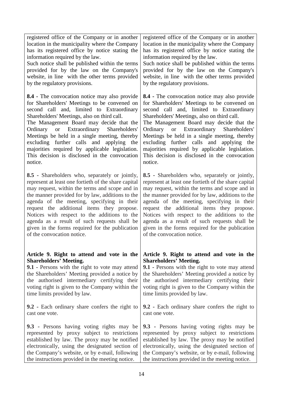registered office of the Company or in another location in the municipality where the Company has its registered office by notice stating the information required by the law.

Such notice shall be published within the terms provided for by the law on the Company's website, in line with the other terms provided by the regulatory provisions.

**8.4 -** The convocation notice may also provide for Shareholders' Meetings to be convened on second call and, limited to Extraordinary Shareholders' Meetings, also on third call.

The Management Board may decide that the Ordinary or Extraordinary Shareholders' Meetings be held in a single meeting, thereby excluding further calls and applying the majorities required by applicable legislation. This decision is disclosed in the convocation notice.

**8.5 -** Shareholders who, separately or jointly, represent at least one fortieth of the share capital may request, within the terms and scope and in the manner provided for by law, additions to the agenda of the meeting, specifying in their request the additional items they propose. Notices with respect to the additions to the agenda as a result of such requests shall be given in the forms required for the publication of the convocation notice.

### **Article 9. Right to attend and vote in the Shareholders' Meeting.**

**9.1 -** Persons with the right to vote may attend the Shareholders' Meeting provided a notice by the authorised intermediary certifying their voting right is given to the Company within the time limits provided by law.

**9.2 -** Each ordinary share confers the right to cast one vote.

**9.3 -** Persons having voting rights may be represented by proxy subject to restrictions established by law. The proxy may be notified electronically, using the designated section of the Company's website, or by e-mail, following the instructions provided in the meeting notice.

registered office of the Company or in another location in the municipality where the Company has its registered office by notice stating the information required by the law.

Such notice shall be published within the terms provided for by the law on the Company's website, in line with the other terms provided by the regulatory provisions.

**8.4 -** The convocation notice may also provide for Shareholders' Meetings to be convened on second call and, limited to Extraordinary Shareholders' Meetings, also on third call.

The Management Board may decide that the Ordinary or Extraordinary Shareholders' Meetings be held in a single meeting, thereby excluding further calls and applying the majorities required by applicable legislation. This decision is disclosed in the convocation notice.

**8.5 -** Shareholders who, separately or jointly, represent at least one fortieth of the share capital may request, within the terms and scope and in the manner provided for by law, additions to the agenda of the meeting, specifying in their request the additional items they propose. Notices with respect to the additions to the agenda as a result of such requests shall be given in the forms required for the publication of the convocation notice.

### **Article 9. Right to attend and vote in the Shareholders' Meeting.**

**9.1 -** Persons with the right to vote may attend the Shareholders' Meeting provided a notice by the authorised intermediary certifying their voting right is given to the Company within the time limits provided by law.

**9.2 -** Each ordinary share confers the right to cast one vote.

**9.3 -** Persons having voting rights may be represented by proxy subject to restrictions established by law. The proxy may be notified electronically, using the designated section of the Company's website, or by e-mail, following the instructions provided in the meeting notice.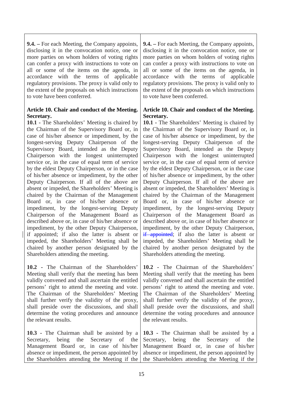**9.4. –** For each Meeting, the Company appoints, disclosing it in the convocation notice, one or more parties on whom holders of voting rights can confer a proxy with instructions to vote on all or some of the items on the agenda, in accordance with the terms of applicable regulatory provisions. The proxy is valid only to the extent of the proposals on which instructions to vote have been conferred.

### **Article 10. Chair and conduct of the Meeting. Secretary.**

**10.1 -** The Shareholders' Meeting is chaired by the Chairman of the Supervisory Board or, in case of his/her absence or impediment, by the longest-serving Deputy Chairperson of the Supervisory Board, intended as the Deputy Chairperson with the longest uninterrupted service or, in the case of equal term of service by the eldest Deputy Chairperson, or in the case of his/her absence or impediment, by the other Deputy Chairperson. If all of the above are absent or impeded, the Shareholders' Meeting is chaired by the Chairman of the Management Board or, in case of his/her absence or impediment, by the longest-serving Deputy Chairperson of the Management Board as described above or, in case of his/her absence or impediment, by the other Deputy Chairperson, if appointed; if also the latter is absent or impeded, the Shareholders' Meeting shall be chaired by another person designated by the Shareholders attending the meeting.

**10.2 -** The Chairman of the Shareholders' Meeting shall verify that the meeting has been validly convened and shall ascertain the entitled persons' right to attend the meeting and vote. The Chairman of the Shareholders' Meeting shall further verify the validity of the proxy, shall preside over the discussions, and shall determine the voting procedures and announce the relevant results.

**10.3 -** The Chairman shall be assisted by a Secretary, being the Secretary of the Management Board or, in case of his/her absence or impediment, the person appointed by the Shareholders attending the Meeting if the

**9.4. –** For each Meeting, the Company appoints, disclosing it in the convocation notice, one or more parties on whom holders of voting rights can confer a proxy with instructions to vote on all or some of the items on the agenda, in accordance with the terms of applicable regulatory provisions. The proxy is valid only to the extent of the proposals on which instructions to vote have been conferred.

### **Article 10. Chair and conduct of the Meeting. Secretary.**

**10.1 -** The Shareholders' Meeting is chaired by the Chairman of the Supervisory Board or, in case of his/her absence or impediment, by the longest-serving Deputy Chairperson of the Supervisory Board, intended as the Deputy Chairperson with the longest uninterrupted service or, in the case of equal term of service by the eldest Deputy Chairperson, or in the case of his/her absence or impediment, by the other Deputy Chairperson. If all of the above are absent or impeded, the Shareholders' Meeting is chaired by the Chairman of the Management Board or, in case of his/her absence or impediment, by the longest-serving Deputy Chairperson of the Management Board as described above or, in case of his/her absence or impediment, by the other Deputy Chairperson, if appointed; if also the latter is absent or impeded, the Shareholders' Meeting shall be chaired by another person designated by the Shareholders attending the meeting.

**10.2 -** The Chairman of the Shareholders' Meeting shall verify that the meeting has been validly convened and shall ascertain the entitled persons' right to attend the meeting and vote. The Chairman of the Shareholders' Meeting shall further verify the validity of the proxy, shall preside over the discussions, and shall determine the voting procedures and announce the relevant results.

**10.3 -** The Chairman shall be assisted by a Secretary, being the Secretary of the Management Board or, in case of his/her absence or impediment, the person appointed by the Shareholders attending the Meeting if the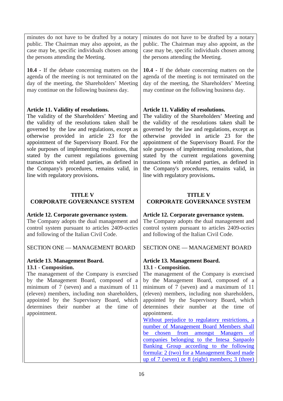| public. The Chairman may also appoint, as the<br>case may be, specific individuals chosen among<br>the persons attending the Meeting. | minutes do not have to be drafted by a notary<br>public. The Chairman may also appoint, as the<br>case may be, specific individuals chosen among<br>the persons attending the Meeting. |
|---------------------------------------------------------------------------------------------------------------------------------------|----------------------------------------------------------------------------------------------------------------------------------------------------------------------------------------|
| 10.4 - If the debate concerning matters on the                                                                                        | 10.4 - If the debate concerning matters on the                                                                                                                                         |
| agenda of the meeting is not terminated on the                                                                                        | agenda of the meeting is not terminated on the                                                                                                                                         |
| day of the meeting, the Shareholders' Meeting                                                                                         | day of the meeting, the Shareholders' Meeting                                                                                                                                          |
| may continue on the following business day.                                                                                           | may continue on the following business day.                                                                                                                                            |
| <b>Article 11. Validity of resolutions.</b>                                                                                           | <b>Article 11. Validity of resolutions.</b>                                                                                                                                            |
| The validity of the Shareholders' Meeting and                                                                                         | The validity of the Shareholders' Meeting and                                                                                                                                          |
| the validity of the resolutions taken shall be                                                                                        | the validity of the resolutions taken shall be                                                                                                                                         |
| governed by the law and regulations, except as                                                                                        | governed by the law and regulations, except as                                                                                                                                         |
| otherwise provided in article 23 for the                                                                                              | otherwise provided in article 23 for the                                                                                                                                               |
| appointment of the Supervisory Board. For the                                                                                         | appointment of the Supervisory Board. For the                                                                                                                                          |
| sole purposes of implementing resolutions, that                                                                                       | sole purposes of implementing resolutions, that                                                                                                                                        |
| stated by the current regulations governing                                                                                           | stated by the current regulations governing                                                                                                                                            |
| transactions with related parties, as defined in                                                                                      | transactions with related parties, as defined in                                                                                                                                       |
| the Company's procedures, remains valid, in                                                                                           | the Company's procedures, remains valid, in                                                                                                                                            |
| line with regulatory provisions.                                                                                                      | line with regulatory provisions.                                                                                                                                                       |
| <b>TITLE V</b>                                                                                                                        | <b>TITLE V</b>                                                                                                                                                                         |
| <b>CORPORATE GOVERNANCE SYSTEM</b>                                                                                                    | <b>CORPORATE GOVERNANCE SYSTEM</b>                                                                                                                                                     |
| Article 12. Corporate governance system.                                                                                              | Article 12. Corporate governance system.                                                                                                                                               |
| The Company adopts the dual management and                                                                                            | The Company adopts the dual management and                                                                                                                                             |
| control system pursuant to articles 2409-octies                                                                                       | control system pursuant to articles 2409-octies                                                                                                                                        |
| and following of the Italian Civil Code.                                                                                              | and following of the Italian Civil Code.                                                                                                                                               |
| <b>SECTION ONE — MANAGEMENT BOARD</b>                                                                                                 | SECTION ONE — MANAGEMENT BOARD                                                                                                                                                         |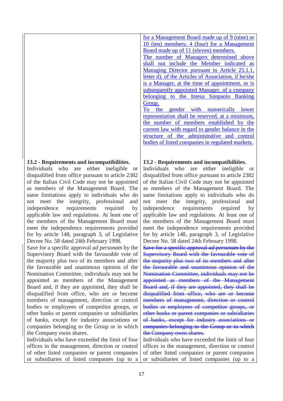**13.2 - Requirements and incompatibilities.**

Individuals who are either ineligible or disqualified from office pursuant to article 2382 of the Italian Civil Code may not be appointed as members of the Management Board. The same limitations apply to individuals who do not meet the integrity, professional and independence requirements required by applicable law and regulations. At least one of the members of the Management Board must meet the independence requirements provided for by article 148, paragraph 3, of Legislative Decree No. 58 dated 24th February 1998.

Save for a specific approval *ad personam* by the Supervisory Board with the favourable vote of the majority plus two of its members and after the favourable and unanimous opinion of the Nomination Committee, individuals may not be appointed as members of the Management Board and, if they are appointed, they shall be disqualified from office, who are or become members of management, direction or control bodies or employees of competitor groups, or other banks or parent companies or subsidiaries of banks, except for industry associations or companies belonging to the Group or in which the Company owns shares.

Individuals who have exceeded the limit of four offices in the management, direction or control of other listed companies or parent companies or subsidiaries of listed companies (up to a

for a Management Board made up of 9 (nine) or 10 (ten) members; 4 (four) for a Management Board made up of 11 (eleven) members.

The number of Managers determined above shall not include the Member indicated as Managing Director pursuant to Article 25.1.1, letter d), of the Articles of Association, if he/she is a Manager, at the time of appointment, or is subsequently appointed Manager, of a company belonging to the Intesa Sanpaolo Banking Group.

To the gender with numerically lower representation shall be reserved, at a minimum, the number of members established by the current law with regard to gender balance in the structure of the administrative and control bodies of listed companies in regulated markets.

# **13.2 - Requirements and incompatibilities.**

Individuals who are either ineligible or disqualified from office pursuant to article 2382 of the Italian Civil Code may not be appointed as members of the Management Board. The same limitations apply to individuals who do not meet the integrity, professional and independence requirements required by applicable law and regulations. At least one of the members of the Management Board must meet the independence requirements provided for by article 148, paragraph 3, of Legislative Decree No. 58 dated 24th February 1998.

Save for a specific approval *ad personam* by the Supervisory Board with the favourable vote of the majority plus two of its members and after the favourable and unanimous opinion of the Nomination Committee, individuals may not be appointed as members of the Management Board and, if they are appointed, they shall be disqualified from office, who are or become members of management, direction or control bodies or employees of competitor groups, or other banks or parent companies or subsidiaries of banks, except for industry associations or companies belonging to the Group or in which the Company owns shares.

Individuals who have exceeded the limit of four offices in the management, direction or control of other listed companies or parent companies or subsidiaries of listed companies (up to a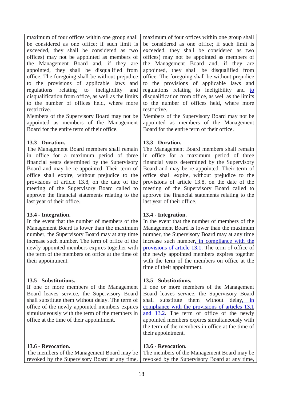maximum of four offices within one group shall be considered as one office; if such limit is exceeded, they shall be considered as two offices) may not be appointed as members of the Management Board and, if they are appointed, they shall be disqualified from office. The foregoing shall be without prejudice to the provisions of applicable laws and regulations relating to ineligibility and disqualification from office, as well as the limits to the number of offices held, where more restrictive.

Members of the Supervisory Board may not be appointed as members of the Management Board for the entire term of their office.

### **13.3 - Duration.**

The Management Board members shall remain in office for a maximum period of three financial years determined by the Supervisory Board and may be re-appointed. Their term of office shall expire, without prejudice to the provisions of article 13.8, on the date of the meeting of the Supervisory Board called to approve the financial statements relating to the last year of their office.

### **13.4 - Integration.**

In the event that the number of members of the Management Board is lower than the maximum number, the Supervisory Board may at any time increase such number. The term of office of the newly appointed members expires together with the term of the members on office at the time of their appointment.

# **13.5 - Substitutions.**

If one or more members of the Management Board leaves service, the Supervisory Board shall substitute them without delay. The term of office of the newly appointed members expires simultaneously with the term of the members in office at the time of their appointment.

# **13.6 - Revocation.**

maximum of four offices within one group shall be considered as one office; if such limit is exceeded, they shall be considered as two offices) may not be appointed as members of the Management Board and, if they are appointed, they shall be disqualified from office. The foregoing shall be without prejudice to the provisions of applicable laws and regulations relating to ineligibility and to disqualification from office, as well as the limits to the number of offices held, where more restrictive.

Members of the Supervisory Board may not be appointed as members of the Management Board for the entire term of their office.

# **13.3 - Duration.**

The Management Board members shall remain in office for a maximum period of three financial years determined by the Supervisory Board and may be re-appointed. Their term of office shall expire, without prejudice to the provisions of article 13.8, on the date of the meeting of the Supervisory Board called to approve the financial statements relating to the last year of their office.

# **13.4 - Integration.**

In the event that the number of members of the Management Board is lower than the maximum number, the Supervisory Board may at any time increase such number, in compliance with the provisions of article 13.1. The term of office of the newly appointed members expires together with the term of the members on office at the time of their appointment.

# **13.5 - Substitutions.**

If one or more members of the Management Board leaves service, the Supervisory Board shall substitute them without delay, in compliance with the provisions of articles 13.1 and 13.2. The term of office of the newly appointed members expires simultaneously with the term of the members in office at the time of their appointment.

# **13.6 - Revocation.**

| The members of the Management Board may be The members of the Management Board may be |                                                                                             |
|---------------------------------------------------------------------------------------|---------------------------------------------------------------------------------------------|
|                                                                                       | revoked by the Supervisory Board at any time, revoked by the Supervisory Board at any time, |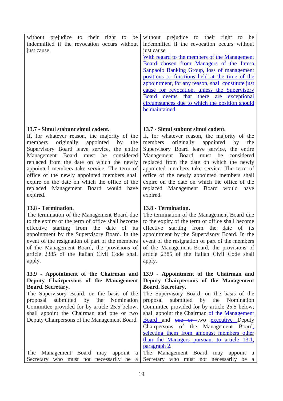| without     | prejudice to their right to be               |  |  |                | without prejudice to their right                   |       |     | to          | be |
|-------------|----------------------------------------------|--|--|----------------|----------------------------------------------------|-------|-----|-------------|----|
|             | indemnified if the revocation occurs without |  |  |                | indemnified if the revocation occurs without       |       |     |             |    |
| just cause. |                                              |  |  | just cause.    |                                                    |       |     |             |    |
|             |                                              |  |  |                | With regard to the members of the Management       |       |     |             |    |
|             |                                              |  |  |                | Board chosen from Managers of the Intesa           |       |     |             |    |
|             |                                              |  |  |                | Sanpaolo Banking Group, loss of management         |       |     |             |    |
|             |                                              |  |  |                | positions or functions held at the time of the     |       |     |             |    |
|             |                                              |  |  |                | appointment, for any reason, shall constitute just |       |     |             |    |
|             |                                              |  |  |                | cause for revocation, unless the Supervisory       |       |     |             |    |
|             |                                              |  |  | <b>Board</b>   | deems that                                         | there | are | exceptional |    |
|             |                                              |  |  |                | circumstances due to which the position should     |       |     |             |    |
|             |                                              |  |  | be maintained. |                                                    |       |     |             |    |
|             |                                              |  |  |                |                                                    |       |     |             |    |
|             |                                              |  |  |                |                                                    |       |     |             |    |

### **13.7 - Simul stabunt simul cadent.**

If, for whatever reason, the majority of the members originally appointed by the Supervisory Board leave service, the entire Management Board must be considered replaced from the date on which the newly appointed members take service. The term of office of the newly appointed members shall expire on the date on which the office of the replaced Management Board would have expired.

### **13.8 - Termination.**

The termination of the Management Board due to the expiry of the term of office shall become effective starting from the date of its appointment by the Supervisory Board. In the event of the resignation of part of the members of the Management Board, the provisions of article 2385 of the Italian Civil Code shall apply.

### **13.9 - Appointment of the Chairman and Deputy Chairpersons of the Management Board. Secretary.**

The Supervisory Board, on the basis of the proposal submitted by the Nomination Committee provided for by article 25.5 below, shall appoint the Chairman and one or two Deputy Chairpersons of the Management Board.

### **13.7 - Simul stabunt simul cadent.**

If, for whatever reason, the majority of the members originally appointed by the Supervisory Board leave service, the entire Management Board must be considered replaced from the date on which the newly appointed members take service. The term of office of the newly appointed members shall expire on the date on which the office of the replaced Management Board would have expired.

### **13.8 - Termination.**

The termination of the Management Board due to the expiry of the term of office shall become effective starting from the date of its appointment by the Supervisory Board. In the event of the resignation of part of the members of the Management Board, the provisions of article 2385 of the Italian Civil Code shall apply.

### **13.9 - Appointment of the Chairman and Deputy Chairpersons of the Management Board. Secretary.**

The Supervisory Board, on the basis of the proposal submitted by the Nomination Committee provided for by article 25.5 below, shall appoint the Chairman of the Management Board and one or two executive Deputy Chairpersons of the Management Board, selecting them from amongst members other than the Managers pursuant to article 13.1, paragraph 2.

The Management Board may appoint a Secretary who must not necessarily be a The Management Board may appoint a Secretary who must not necessarily be a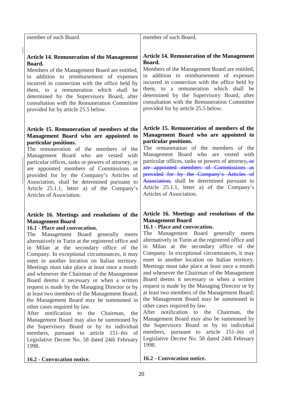| member of such Board.                                                                                                                                                                                                                                                                                                                                                                                                                                                                                                                                                                                                                                                                                                                                                                                                                                                                                                                                                      | member of such Board.                                                                                                                                                                                                                                                                                                                                                                                                                                                                                                                                                                                                                                                                                                                                                                                                                                                                                                                                                   |
|----------------------------------------------------------------------------------------------------------------------------------------------------------------------------------------------------------------------------------------------------------------------------------------------------------------------------------------------------------------------------------------------------------------------------------------------------------------------------------------------------------------------------------------------------------------------------------------------------------------------------------------------------------------------------------------------------------------------------------------------------------------------------------------------------------------------------------------------------------------------------------------------------------------------------------------------------------------------------|-------------------------------------------------------------------------------------------------------------------------------------------------------------------------------------------------------------------------------------------------------------------------------------------------------------------------------------------------------------------------------------------------------------------------------------------------------------------------------------------------------------------------------------------------------------------------------------------------------------------------------------------------------------------------------------------------------------------------------------------------------------------------------------------------------------------------------------------------------------------------------------------------------------------------------------------------------------------------|
| <b>Article 14. Remuneration of the Management</b><br>Board.<br>Members of the Management Board are entitled,<br>in addition to reimbursement of expenses<br>incurred in connection with the office held by<br>them, to a remuneration which shall be<br>determined by the Supervisory Board, after<br>consultation with the Remuneration Committee<br>provided for by article 25.5 below.                                                                                                                                                                                                                                                                                                                                                                                                                                                                                                                                                                                  | <b>Article 14. Remuneration of the Management</b><br>Board.<br>Members of the Management Board are entitled,<br>in addition to reimbursement of expenses<br>incurred in connection with the office held by<br>them, to a remuneration which shall be<br>determined by the Supervisory Board, after<br>consultation with the Remuneration Committee<br>provided for by article 25.5 below.                                                                                                                                                                                                                                                                                                                                                                                                                                                                                                                                                                               |
| Article 15. Remuneration of members of the<br>Management Board who are appointed to<br>particular positions.<br>The remuneration of the members of the<br>Management Board who are vested with<br>particular offices, tasks or powers of attorney, or<br>are appointed members of Commissions as<br>provided for by the Company's Articles of<br>Association, shall be determined pursuant to<br>Article 25.1.1, letter a) of the Company's<br>Articles of Association.                                                                                                                                                                                                                                                                                                                                                                                                                                                                                                    | Article 15. Remuneration of members of the<br>Management Board who are appointed to<br>particular positions.<br>The remuneration of the members of the<br>Management Board who are vested with<br>particular offices, tasks or powers of attorney, or<br>are appointed members of Commissions as<br>provided for by the Company's Articles of<br>Association, shall be determined pursuant to<br>Article 25.1.1, letter a) of the Company's<br>Articles of Association.                                                                                                                                                                                                                                                                                                                                                                                                                                                                                                 |
| Article 16. Meetings and resolutions of the<br><b>Management Board</b><br>16.1 - Place and convocation.<br>The Management Board generally meets<br>alternatively in Turin at the registered office and<br>in Milan at the secondary office of the<br>Company. In exceptional circumstances, it may<br>meet in another location on Italian territory.<br>Meetings must take place at least once a month<br>and whenever the Chairman of the Management<br>Board deems it necessary or when a written<br>request is made by the Managing Director or by<br>at least two members of the Management Board;<br>the Management Board may be summoned in<br>other cases required by law.<br>After notification to the<br>Chairman,<br>the<br>Management Board may also be summoned by<br>the Supervisory Board or by its individual<br>members, pursuant to article 151– <i>bis</i><br>of<br>Legislative Decree No. 58 dated 24th February<br>1998.<br>16.2 - Convocation notice. | Article 16. Meetings and resolutions of the<br><b>Management Board</b><br>16.1 - Place and convocation.<br>The Management Board generally meets<br>alternatively in Turin at the registered office and<br>in Milan at the secondary office of the<br>Company. In exceptional circumstances, it may<br>meet in another location on Italian territory.<br>Meetings must take place at least once a month<br>and whenever the Chairman of the Management<br>Board deems it necessary or when a written<br>request is made by the Managing Director or by<br>at least two members of the Management Board;<br>the Management Board may be summoned in<br>other cases required by law.<br>After notification to the<br>Chairman,<br>the<br>Management Board may also be summoned by<br>the Supervisory Board or by its individual<br>members, pursuant to article 151– <i>bis</i> of<br>Legislative Decree No. 58 dated 24th February<br>1998.<br>16.2 - Convocation notice. |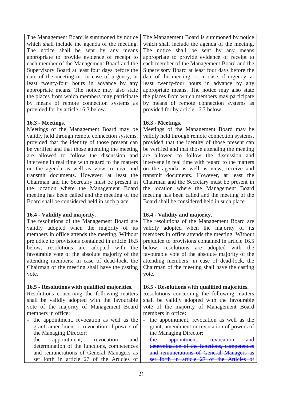The Management Board is summoned by notice which shall include the agenda of the meeting. The notice shall be sent by any means appropriate to provide evidence of receipt to each member of the Management Board and the Supervisory Board at least four days before the date of the meeting or, in case of urgency, at least twenty-four hours in advance by any appropriate means. The notice may also state the places from which members may participate by means of remote connection systems as provided for by article 16.3 below.

### **16.3 - Meetings.**

Meetings of the Management Board may be validly held through remote connection systems, provided that the identity of those present can be verified and that those attending the meeting are allowed to follow the discussion and intervene in real time with regard to the matters on the agenda as well as view, receive and transmit documents. However, at least the Chairman and the Secretary must be present in the location where the Management Board meeting has been called and the meeting of the Board shall be considered held in such place.

### **16.4 - Validity and majority.**

The resolutions of the Management Board are validly adopted when the majority of its members in office attends the meeting. Without prejudice to provisions contained in article 16.5 below, resolutions are adopted with the favourable vote of the absolute majority of the attending members; in case of dead-lock, the Chairman of the meeting shall have the casting vote.

### **16.5 - Resolutions with qualified majorities.**

Resolutions concerning the following matters shall be validly adopted with the favourable vote of the majority of Management Board members in office:

- the appointment, revocation as well as the grant, amendment or revocation of powers of the Managing Director;
- the appointment, revocation and determination of the functions, competences and remunerations of General Managers as set forth in article 27 of the Articles of

The Management Board is summoned by notice which shall include the agenda of the meeting. The notice shall be sent by any means appropriate to provide evidence of receipt to each member of the Management Board and the Supervisory Board at least four days before the date of the meeting or, in case of urgency, at least twenty-four hours in advance by any appropriate means. The notice may also state the places from which members may participate by means of remote connection systems as provided for by article 16.3 below.

# **16.3 - Meetings.**

Meetings of the Management Board may be validly held through remote connection systems, provided that the identity of those present can be verified and that those attending the meeting are allowed to follow the discussion and intervene in real time with regard to the matters on the agenda as well as view, receive and transmit documents. However, at least the Chairman and the Secretary must be present in the location where the Management Board meeting has been called and the meeting of the Board shall be considered held in such place.

# **16.4 - Validity and majority.**

The resolutions of the Management Board are validly adopted when the majority of its members in office attends the meeting. Without prejudice to provisions contained in article 16.5 below, resolutions are adopted with the favourable vote of the absolute majority of the attending members; in case of dead-lock, the Chairman of the meeting shall have the casting vote.

# **16.5 - Resolutions with qualified majorities.**

Resolutions concerning the following matters shall be validly adopted with the favourable vote of the majority of Management Board members in office:

- the appointment, revocation as well as the grant, amendment or revocation of powers of the Managing Director;
- the appointment, revocation and determination of the functions, competences and remunerations of General Managers as set forth in article 27 of the Articles of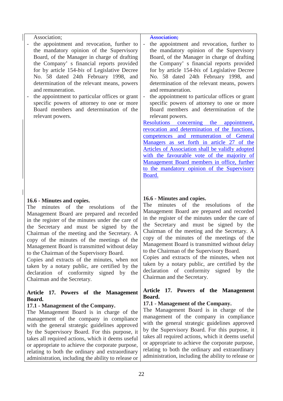| the Secretary and must be signed by the<br>Chairman of the meeting and the Secretary. A<br>copy of the minutes of the meetings of the<br>Management Board is transmitted without delay<br>to the Chairman of the Supervisory Board.<br>Copies and extracts of the minutes, when not<br>taken by a notary public, are certified by the<br>declaration of conformity signed by the<br>Chairman and the Secretary.<br>Article 17. Powers of the Management<br>Board.<br>17.1 - Management of the Company.                                                   | the Secretary and must be signed by the<br>Chairman of the meeting and the Secretary. A<br>copy of the minutes of the meetings of the<br>Management Board is transmitted without delay<br>to the Chairman of the Supervisory Board.<br>Copies and extracts of the minutes, when not<br>taken by a notary public, are certified by the<br>declaration of conformity signed by the<br>Chairman and the Secretary.<br>Article 17. Powers of the Management<br>Board.<br>17.1 - Management of the Company.                                                                                                                                                                                                                                                                                                                                                                                                                                                                                             |
|----------------------------------------------------------------------------------------------------------------------------------------------------------------------------------------------------------------------------------------------------------------------------------------------------------------------------------------------------------------------------------------------------------------------------------------------------------------------------------------------------------------------------------------------------------|----------------------------------------------------------------------------------------------------------------------------------------------------------------------------------------------------------------------------------------------------------------------------------------------------------------------------------------------------------------------------------------------------------------------------------------------------------------------------------------------------------------------------------------------------------------------------------------------------------------------------------------------------------------------------------------------------------------------------------------------------------------------------------------------------------------------------------------------------------------------------------------------------------------------------------------------------------------------------------------------------|
| 16.6 - Minutes and copies.<br>The minutes of the resolutions<br>of the<br>Management Board are prepared and recorded<br>in the register of the minutes under the care of                                                                                                                                                                                                                                                                                                                                                                                 | 16.6 - Minutes and copies.<br>minutes of the resolutions of<br>The<br>the<br>Management Board are prepared and recorded<br>in the register of the minutes under the care of                                                                                                                                                                                                                                                                                                                                                                                                                                                                                                                                                                                                                                                                                                                                                                                                                        |
| Association;<br>the appointment and revocation, further to<br>$\overline{\phantom{a}}$<br>the mandatory opinion of the Supervisory<br>Board, of the Manager in charge of drafting<br>the Company' s financial reports provided<br>for by article 154-bis of Legislative Decree<br>No. 58 dated 24th February 1998, and<br>determination of the relevant means, powers<br>and remuneration.<br>the appointment to particular offices or grant<br>specific powers of attorney to one or more<br>Board members and determination of the<br>relevant powers. | <b>Association;</b><br>the appointment and revocation, further to<br>$\overline{\phantom{a}}$<br>the mandatory opinion of the Supervisory<br>Board, of the Manager in charge of drafting<br>the Company' s financial reports provided<br>for by article 154-bis of Legislative Decree<br>No. 58 dated 24th February 1998, and<br>determination of the relevant means, powers<br>and remuneration.<br>the appointment to particular offices or grant<br>$\overline{\phantom{a}}$<br>specific powers of attorney to one or more<br>Board members and determination of the<br>relevant powers.<br>Resolutions concerning<br>the<br>appointment,<br>revocation and determination of the functions,<br>competences and remuneration of General<br>Managers as set forth in article 27 of the<br>Articles of Association shall be validly adopted<br>with the favourable vote of the majority of<br>Management Board members in office, further<br>to the mandatory opinion of the Supervisory<br>Board. |

with the general strategic guidelines approved by the Supervisory Board. For this purpose, it takes all required actions, which it deems useful or appropriate to achieve the corporate purpose, relating to both the ordinary and extraordinary administration, including the ability to release or

with the general strategic guidelines approved by the Supervisory Board. For this purpose, it takes all required actions, which it deems useful or appropriate to achieve the corporate purpose, relating to both the ordinary and extraordinary administration, including the ability to release or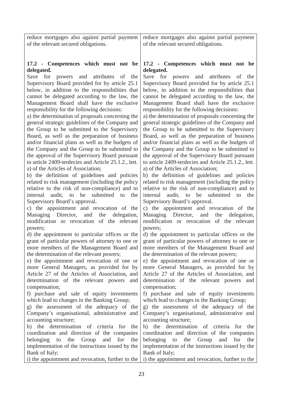| reduce mortgages also against partial payment<br>of the relevant secured obligations.             | reduce mortgages also against partial payment<br>of the relevant secured obligations.             |
|---------------------------------------------------------------------------------------------------|---------------------------------------------------------------------------------------------------|
| 17.2 - Competences which must not be<br>delegated.                                                | 17.2 - Competences which must not be<br>delegated.                                                |
| Save for powers and<br>attributes<br>the<br>of                                                    | Save for powers and attributes of<br>the                                                          |
| Supervisory Board provided for by article 25.1<br>below, in addition to the responsibilities that | Supervisory Board provided for by article 25.1<br>below, in addition to the responsibilities that |
| cannot be delegated according to the law, the                                                     | cannot be delegated according to the law, the                                                     |
| Management Board shall have the exclusive                                                         | Management Board shall have the exclusive                                                         |
| responsibility for the following decisions:<br>a) the determination of proposals concerning the   | responsibility for the following decisions:<br>a) the determination of proposals concerning the   |
| general strategic guidelines of the Company and                                                   | general strategic guidelines of the Company and                                                   |
| the Group to be submitted to the Supervisory                                                      | the Group to be submitted to the Supervisory                                                      |
| Board, as well as the preparation of business                                                     | Board, as well as the preparation of business                                                     |
| and/or financial plans as well as the budgets of<br>the Company and the Group to be submitted to  | and/or financial plans as well as the budgets of<br>the Company and the Group to be submitted to  |
| the approval of the Supervisory Board pursuant                                                    | the approval of the Supervisory Board pursuant                                                    |
| to article 2409-terdecies and Article 25.1.2., lett.                                              | to article 2409-terdecies and Article 25.1.2., lett.                                              |
| a) of the Articles of Association;                                                                | a) of the Articles of Association;                                                                |
| b) the definition of guidelines and policies<br>related to risk management (including the policy  | b) the definition of guidelines and policies<br>related to risk management (including the policy  |
| relative to the risk of non-compliance) and to                                                    | relative to the risk of non-compliance) and to                                                    |
| submitted to the<br>internal audit, to be                                                         | audit, to be submitted to<br>internal<br>the                                                      |
| Supervisory Board's approval.                                                                     | Supervisory Board's approval.                                                                     |
| c) the appointment and revocation of the<br>Managing Director, and<br>delegation,<br>the          | c) the appointment and revocation of the<br>Managing Director, and<br>the<br>delegation,          |
| modification or revocation of the relevant                                                        | modification or revocation of the relevant                                                        |
| powers;                                                                                           | powers;                                                                                           |
| d) the appointment to particular offices or the                                                   | d) the appointment to particular offices or the                                                   |
| grant of particular powers of attorney to one or<br>more members of the Management Board and      | grant of particular powers of attorney to one or<br>more members of the Management Board and      |
| the determination of the relevant powers;                                                         | the determination of the relevant powers;                                                         |
| e) the appointment and revocation of one or                                                       | e) the appointment and revocation of one or                                                       |
| more General Managers, as provided for by                                                         | more General Managers, as provided for by                                                         |
| Article 27 of the Articles of Association, and<br>determination of the relevant powers<br>and     | Article 27 of the Articles of Association, and<br>determination of the relevant powers<br>and     |
| compensation;                                                                                     | compensation;                                                                                     |
| f) purchase and sale of equity investments                                                        | f) purchase and sale of equity investments                                                        |
| which lead to changes in the Banking Group;                                                       | which lead to changes in the Banking Group;                                                       |
| g) the assessment of the adequacy of the<br>Company's organisational, administrative and          | g) the assessment of the adequacy of the<br>Company's organisational, administrative and          |
| accounting structure;                                                                             | accounting structure;                                                                             |
| h) the determination of criteria for the                                                          | h) the determination of criteria for the                                                          |
| coordination and direction of the companies                                                       | coordination and direction of the companies                                                       |
| Group<br>and<br>for<br>belonging<br>to<br>the<br>the                                              | belonging<br>the<br>Group<br>and<br>for<br>to<br>the                                              |
| implementation of the instructions issued by the<br>Bank of Italy;                                | implementation of the instructions issued by the<br>Bank of Italy;                                |
| i) the appointment and revocation, further to the                                                 | i) the appointment and revocation, further to the                                                 |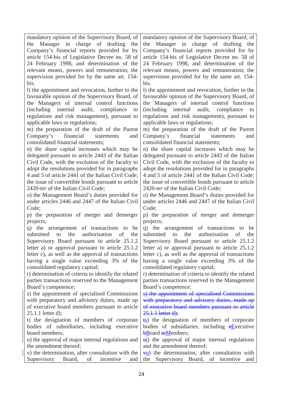mandatory opinion of the Supervisory Board, of the Manager in charge of drafting the Company's financial reports provided for by article 154-bis of Legislative Decree no. 58 of 24 February 1998, and determination of the relevant means, powers and remuneration; the supervision provided for by the same art. 154 bis.

l) the appointment and revocation, further to the favourable opinion of the Supervisory Board, of the Managers of internal control functions (including internal audit, compliance to regulations and risk management), pursuant to applicable laws or regulations;

m) the preparation of the draft of the Parent Company's financial statements and consolidated financial statements;

n) the share capital increases which may be delegated pursuant to article 2443 of the Italian Civil Code, with the exclusion of the faculty to adopt the resolutions provided for in paragraphs 4 and 5 of article 2441 of the Italian Civil Code; the issue of convertible bonds pursuant to article 2420-*ter* of the Italian Civil Code;

o) the Management Board's duties provided for under articles 2446 and 2447 of the Italian Civil Code;

p) the preparation of merger and demerger projects;

q) the arrangement of transactions to be submitted to the authorisation of the Supervisory Board pursuant to article 25.1.2 letter a) or approval pursuant to article 25.1.2 letter c), as well as the approval of transactions having a single value exceeding 3% of the consolidated regulatory capital;

r) determination of criteria to identify the related parties transactions reserved to the Management Board's competence;

s) the appointment of specialised Commissions with preparatory and advisory duties, made up of executive board members pursuant to article 25.1.1 letter d);

t) the designation of members of corporate bodies of subsidiaries, including executive board members;

u) the approval of major internal regulations and the amendment thereof;

mandatory opinion of the Supervisory Board, of the Manager in charge of drafting the Company's financial reports provided for by article 154-bis of Legislative Decree no. 58 of 24 February 1998, and determination of the relevant means, powers and remuneration; the supervision provided for by the same art. 154 bis.

l) the appointment and revocation, further to the favourable opinion of the Supervisory Board, of the Managers of internal control functions (including internal audit, compliance to regulations and risk management), pursuant to applicable laws or regulations;

m) the preparation of the draft of the Parent Company's financial statements and consolidated financial statements;

n) the share capital increases which may be delegated pursuant to article 2443 of the Italian Civil Code, with the exclusion of the faculty to adopt the resolutions provided for in paragraphs 4 and 5 of article 2441 of the Italian Civil Code; the issue of convertible bonds pursuant to article 2420-*ter* of the Italian Civil Code;

o) the Management Board's duties provided for under articles 2446 and 2447 of the Italian Civil Code;

p) the preparation of merger and demerger projects;

q) the arrangement of transactions to be submitted to the authorisation of the Supervisory Board pursuant to article 25.1.2 letter a) or approval pursuant to article 25.1.2 letter c), as well as the approval of transactions having a single value exceeding 3% of the consolidated regulatory capital;

r) determination of criteria to identify the related parties transactions reserved to the Management Board's competence;

s) the appointment of specialised Commissions with preparatory and advisory duties, made up of executive board members pursuant to article 25.1.1 letter d);

ts) the designation of members of corporate bodies of subsidiaries, including eExecutive **bBoard mMembers:** 

 $\frac{u(t)}{u(t)}$  the approval of major internal regulations and the amendment thereof;

v) the determination, after consultation with the Supervisory Board, of incentive and  $\overline{v}$  the determination, after consultation with the Supervisory Board, of incentive and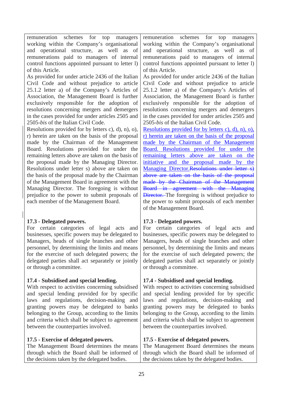remuneration schemes for top managers working within the Company's organisational and operational structure, as well as of remunerations paid to managers of internal control functions appointed pursuant to letter l) of this Article.

As provided for under article 2436 of the Italian Civil Code and without prejudice to article 25.1.2 letter a) of the Company's Articles of Association, the Management Board is further exclusively responsible for the adoption of resolutions concerning mergers and demergers in the cases provided for under articles 2505 and 2505-*bis* of the Italian Civil Code.

Resolutions provided for by letters c), d), n), o), r) herein are taken on the basis of the proposal made by the Chairman of the Management Board. Resolutions provided for under the remaining letters above are taken on the basis of the proposal made by the Managing Director. Resolutions under letter s) above are taken on the basis of the proposal made by the Chairman of the Management Board in agreement with the Managing Director. The foregoing is without prejudice to the power to submit proposals of each member of the Management Board.

# **17.3 - Delegated powers.**

For certain categories of legal acts and businesses, specific powers may be delegated to Managers, heads of single branches and other personnel, by determining the limits and means for the exercise of such delegated powers; the delegated parties shall act separately or jointly or through a committee.

# **17.4 - Subsidised and special lending.**

With respect to activities concerning subsidised and special lending provided for by specific laws and regulations, decision-making and granting powers may be delegated to banks belonging to the Group, according to the limits and criteria which shall be subject to agreement between the counterparties involved.

# **17.5 - Exercise of delegated powers.**

The Management Board determines the means through which the Board shall be informed of the decisions taken by the delegated bodies.

remuneration schemes for top managers working within the Company's organisational and operational structure, as well as of remunerations paid to managers of internal control functions appointed pursuant to letter l) of this Article.

As provided for under article 2436 of the Italian Civil Code and without prejudice to article 25.1.2 letter a) of the Company's Articles of Association, the Management Board is further exclusively responsible for the adoption of resolutions concerning mergers and demergers in the cases provided for under articles 2505 and 2505-*bis* of the Italian Civil Code.

Resolutions provided for by letters c), d), n), o), r) herein are taken on the basis of the proposal made by the Chairman of the Management Board. Resolutions provided for under the remaining letters above are taken on the initiative and the proposal made by the Managing Director. Resolutions under letter s) above are taken on the basis of the proposal made by the Chairman of the Management Board in agreement with the Managing **Director.** The foregoing is without prejudice to the power to submit proposals of each member of the Management Board.

# **17.3 - Delegated powers.**

For certain categories of legal acts and businesses, specific powers may be delegated to Managers, heads of single branches and other personnel, by determining the limits and means for the exercise of such delegated powers; the delegated parties shall act separately or jointly or through a committee.

# **17.4 - Subsidised and special lending.**

With respect to activities concerning subsidised and special lending provided for by specific laws and regulations, decision-making and granting powers may be delegated to banks belonging to the Group, according to the limits and criteria which shall be subject to agreement between the counterparties involved.

# **17.5 - Exercise of delegated powers.**

The Management Board determines the means through which the Board shall be informed of the decisions taken by the delegated bodies.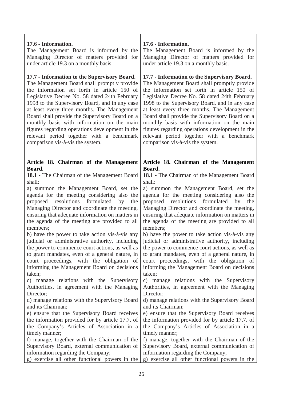### **17.6 - Information.**

The Management Board is informed by the Managing Director of matters provided for under article 19.3 on a monthly basis.

### **17.7 - Information to the Supervisory Board.**

The Management Board shall promptly provide the information set forth in article 150 of Legislative Decree No. 58 dated 24th February 1998 to the Supervisory Board, and in any case at least every three months. The Management Board shall provide the Supervisory Board on a monthly basis with information on the main figures regarding operations development in the relevant period together with a benchmark comparison vis-à-vis the system.

### **Article 18. Chairman of the Management Board.**

**18.1 -** The Chairman of the Management Board shall:

a) summon the Management Board, set the agenda for the meeting considering also the proposed resolutions formulated by the Managing Director and coordinate the meeting, ensuring that adequate information on matters in the agenda of the meeting are provided to all members;

b) have the power to take action vis-à-vis any judicial or administrative authority, including the power to commence court actions, as well as to grant mandates, even of a general nature, in court proceedings, with the obligation of informing the Management Board on decisions taken;

c) manage relations with the Supervisory Authorities, in agreement with the Managing Director:

d) manage relations with the Supervisory Board and its Chairman;

e) ensure that the Supervisory Board receives the information provided for by article 17.7. of the Company's Articles of Association in a timely manner;

f) manage, together with the Chairman of the Supervisory Board, external communication of information regarding the Company;

### **17.6 - Information.**

The Management Board is informed by the Managing Director of matters provided for under article 19.3 on a monthly basis.

### **17.7 - Information to the Supervisory Board.**

The Management Board shall promptly provide the information set forth in article 150 of Legislative Decree No. 58 dated 24th February 1998 to the Supervisory Board, and in any case at least every three months. The Management Board shall provide the Supervisory Board on a monthly basis with information on the main figures regarding operations development in the relevant period together with a benchmark comparison vis-à-vis the system.

### **Article 18. Chairman of the Management Board.**

**18.1 -** The Chairman of the Management Board shall:

a) summon the Management Board, set the agenda for the meeting considering also the proposed resolutions formulated by the Managing Director and coordinate the meeting, ensuring that adequate information on matters in the agenda of the meeting are provided to all members;

b) have the power to take action vis-à-vis any judicial or administrative authority, including the power to commence court actions, as well as to grant mandates, even of a general nature, in court proceedings, with the obligation of informing the Management Board on decisions taken;

c) manage relations with the Supervisory Authorities, in agreement with the Managing Director:

d) manage relations with the Supervisory Board and its Chairman;

e) ensure that the Supervisory Board receives the information provided for by article 17.7. of the Company's Articles of Association in a timely manner;

f) manage, together with the Chairman of the Supervisory Board, external communication of information regarding the Company;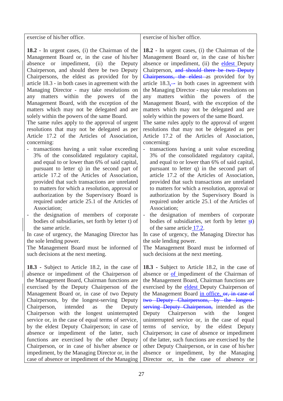exercise of his/her office.

**18.2** - In urgent cases, (i) the Chairman of the Management Board or, in the case of his/her absence or impediment, (ii) the Deputy Chairperson, and should there be two Deputy Chairpersons, the eldest as provided for by article 18.3 - in both cases in agreement with the Managing Director - may take resolutions on any matters within the powers of the Management Board, with the exception of the matters which may not be delegated and are solely within the powers of the same Board.

The same rules apply to the approval of urgent resolutions that may not be delegated as per Article 17.2 of the Articles of Association, concerning:

- transactions having a unit value exceeding 3% of the consolidated regulatory capital, and equal to or lower than 6% of said capital, pursuant to letter q) in the second part of article 17.2 of the Articles of Association, provided that such transactions are unrelated to matters for which a resolution, approval or authorization by the Supervisory Board is required under article 25.1 of the Articles of Association;

- the designation of members of corporate bodies of subsidiaries, set forth by letter t) of the same article.

In case of urgency, the Managing Director has the sole lending power.

The Management Board must be informed of such decisions at the next meeting.

**18.3 -** Subject to Article 18.2, in the case of absence or impediment of the Chairperson of the Management Board, Chairman functions are exercised by the Deputy Chairperson of the Management Board or, in case of two Deputy Chairpersons, by the longest-serving Deputy Chairperson, intended as the Deputy Chairperson with the longest uninterrupted service or, in the case of equal terms of service, by the eldest Deputy Chairperson; in case of absence or impediment of the latter, such functions are exercised by the other Deputy Chairperson, or in case of his/her absence or impediment, by the Managing Director or, in the case of absence or impediment of the Managing

exercise of his/her office.

**18.2** - In urgent cases, (i) the Chairman of the Management Board or, in the case of his/her absence or impediment, (ii) the eldest Deputy Chairperson, and should there be two Deputy Chairpersons, the eldest as provided for by article  $18.3$ ,— in both cases in agreement with the Managing Director - may take resolutions on any matters within the powers of the Management Board, with the exception of the matters which may not be delegated and are solely within the powers of the same Board.

The same rules apply to the approval of urgent resolutions that may not be delegated as per Article 17.2 of the Articles of Association, concerning:

- transactions having a unit value exceeding 3% of the consolidated regulatory capital, and equal to or lower than 6% of said capital, pursuant to letter q) in the second part of article 17.2 of the Articles of Association, provided that such transactions are unrelated to matters for which a resolution, approval or authorization by the Supervisory Board is required under article 25.1 of the Articles of Association;
- the designation of members of corporate bodies of subsidiaries, set forth by letter st) of the same article 17.2.

In case of urgency, the Managing Director has the sole lending power.

The Management Board must be informed of such decisions at the next meeting.

**18.3 -** Subject to Article 18.2, in the case of absence or of impediment of the Chairman of the Management Board, Chairman functions are exercised by the eldest Deputy Chairperson of the Management Board in office, or, in case of two Deputy Chairpersons, by the longestserving Deputy Chairperson, intended as the Deputy Chairperson with the longest uninterrupted service or, in the case of equal terms of service, by the eldest Deputy Chairperson; in case of absence or impediment of the latter, such functions are exercised by the other Deputy Chairperson, or in case of his/her absence or impediment, by the Managing Director or, in the case of absence or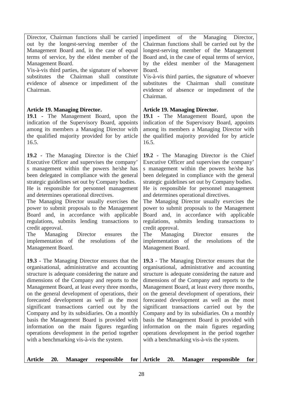| impediment of the Managing Director,<br>Chairman functions shall be carried out by the<br>longest-serving member of the Management<br>Board and, in the case of equal terms of service,<br>by the eldest member of the Management<br>Board.<br>Vis-à-vis third parties, the signature of whoever<br>the Chairman<br>shall<br>substitutes<br>constitute<br>evidence of absence or impediment of the<br>Chairman.                                                                                                                                                                                                                                                                                                         |
|-------------------------------------------------------------------------------------------------------------------------------------------------------------------------------------------------------------------------------------------------------------------------------------------------------------------------------------------------------------------------------------------------------------------------------------------------------------------------------------------------------------------------------------------------------------------------------------------------------------------------------------------------------------------------------------------------------------------------|
| <b>Article 19. Managing Director.</b><br>19.1 - The Management Board, upon the<br>indication of the Supervisory Board, appoints<br>among its members a Managing Director with<br>the qualified majority provided for by article<br>16.5.                                                                                                                                                                                                                                                                                                                                                                                                                                                                                |
| 19.2 - The Managing Director is the Chief<br>Executive Officer and supervises the company'<br>s management within the powers he/she has<br>been delegated in compliance with the general<br>strategic guidelines set out by Company bodies.<br>He is responsible for personnel management<br>and determines operational directives.<br>The Managing Director usually exercises the<br>power to submit proposals to the Management<br>Board and, in accordance with applicable<br>regulations, submits lending transactions to<br>credit approval.<br>Managing Director<br>The<br>the<br>ensures<br>implementation of the resolutions of<br>the<br>Management Board.                                                     |
| <b>19.3</b> - The Managing Director ensures that the<br>organisational, administrative and accounting<br>structure is adequate considering the nature and<br>dimensions of the Company and reports to the<br>Management Board, at least every three months,<br>on the general development of operations, their<br>forecasted development as well as the most<br>significant transactions carried out by the<br>Company and by its subsidiaries. On a monthly<br>basis the Management Board is provided with<br>information on the main figures regarding<br>operations development in the period together<br>with a benchmarking vis-à-vis the system.<br><b>Article</b><br>20.<br><b>Manager</b><br>responsible<br>for |
| for                                                                                                                                                                                                                                                                                                                                                                                                                                                                                                                                                                                                                                                                                                                     |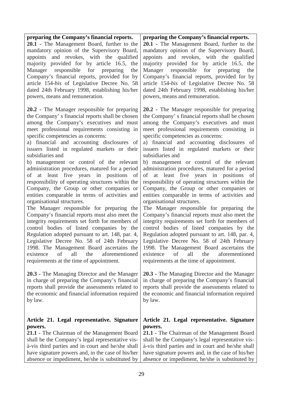# **preparing the Company's financial reports.**

**20.1 -** The Management Board, further to the mandatory opinion of the Supervisory Board, appoints and revokes, with the qualified majority provided for by article 16.5, the Manager responsible for preparing the Company's financial reports, provided for by article 154-*bis* of Legislative Decree No. 58 dated 24th February 1998, establishing his/her powers, means and remuneration.

**20.2 -** The Manager responsible for preparing the Company' s financial reports shall be chosen among the Company's executives and must meet professional requirements consisting in specific competencies as concerns:

a) financial and accounting disclosures of issuers listed in regulated markets or their subsidiaries and

b) management or control of the relevant administration procedures, matured for a period of at least five years in positions of responsibility of operating structures within the Company, the Group or other companies or entities comparable in terms of activities and organisational structures.

The Manager responsible for preparing the Company's financial reports must also meet the integrity requirements set forth for members of control bodies of listed companies by the Regulation adopted pursuant to art. 148, par. 4, Legislative Decree No. 58 of 24th February 1998. The Management Board ascertains the existence of all the aforementioned requirements at the time of appointment.

**20.3 -** The Managing Director and the Manager in charge of preparing the Company's financial reports shall provide the assessments related to the economic and financial information required by law.

### **Article 21. Legal representative. Signature powers.**

**21.1 -** The Chairman of the Management Board shall be the Company's legal representative visà-vis third parties and in court and he/she shall have signature powers and, in the case of his/her absence or impediment, he/she is substituted by

### **preparing the Company's financial reports.**

**20.1 -** The Management Board, further to the mandatory opinion of the Supervisory Board, appoints and revokes, with the qualified majority provided for by article 16.5, the Manager responsible for preparing the Company's financial reports, provided for by article 154-*bis* of Legislative Decree No. 58 dated 24th February 1998, establishing his/her powers, means and remuneration.

**20.2 -** The Manager responsible for preparing the Company' s financial reports shall be chosen among the Company's executives and must meet professional requirements consisting in specific competencies as concerns:

a) financial and accounting disclosures of issuers listed in regulated markets or their subsidiaries and

b) management or control of the relevant administration procedures, matured for a period of at least five years in positions of responsibility of operating structures within the Company, the Group or other companies or entities comparable in terms of activities and organisational structures.

The Manager responsible for preparing the Company's financial reports must also meet the integrity requirements set forth for members of control bodies of listed companies by the Regulation adopted pursuant to art. 148, par. 4, Legislative Decree No. 58 of 24th February 1998. The Management Board ascertains the existence of all the aforementioned requirements at the time of appointment.

**20.3 -** The Managing Director and the Manager in charge of preparing the Company's financial reports shall provide the assessments related to the economic and financial information required by law.

### **Article 21. Legal representative. Signature powers.**

**21.1 -** The Chairman of the Management Board shall be the Company's legal representative visà-vis third parties and in court and he/she shall have signature powers and, in the case of his/her absence or impediment, he/she is substituted by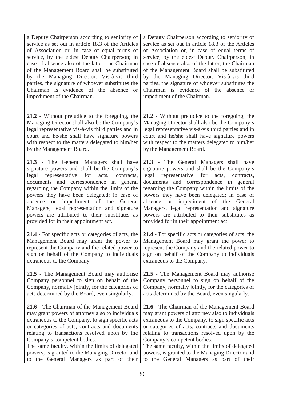a Deputy Chairperson according to seniority of service as set out in article 18.3 of the Articles of Association or, in case of equal terms of service, by the eldest Deputy Chairperson; in case of absence also of the latter, the Chairman of the Management Board shall be substituted by the Managing Director. Vis-à-vis third parties, the signature of whoever substitutes the Chairman is evidence of the absence or impediment of the Chairman.

**21.2 -** Without prejudice to the foregoing, the Managing Director shall also be the Company's legal representative vis-à-vis third parties and in court and he/she shall have signature powers with respect to the matters delegated to him/her by the Management Board.

**21.3 -** The General Managers shall have signature powers and shall be the Company's legal representative for acts, contracts, documents and correspondence in general regarding the Company within the limits of the powers they have been delegated; in case of absence or impediment of the General Managers, legal representation and signature powers are attributed to their substitutes as provided for in their appointment act.

**21.4 -** For specific acts or categories of acts, the Management Board may grant the power to represent the Company and the related power to sign on behalf of the Company to individuals extraneous to the Company.

**21.5 -** The Management Board may authorise Company personnel to sign on behalf of the Company, normally jointly, for the categories of acts determined by the Board, even singularly.

**21.6 -** The Chairman of the Management Board may grant powers of attorney also to individuals extraneous to the Company, to sign specific acts or categories of acts, contracts and documents relating to transactions resolved upon by the Company's competent bodies.

The same faculty, within the limits of delegated powers, is granted to the Managing Director and to the General Managers as part of their

a Deputy Chairperson according to seniority of service as set out in article 18.3 of the Articles of Association or, in case of equal terms of service, by the eldest Deputy Chairperson; in case of absence also of the latter, the Chairman of the Management Board shall be substituted by the Managing Director. Vis-à-vis third parties, the signature of whoever substitutes the Chairman is evidence of the absence or impediment of the Chairman.

**21.2 -** Without prejudice to the foregoing, the Managing Director shall also be the Company's legal representative vis-à-vis third parties and in court and he/she shall have signature powers with respect to the matters delegated to him/her by the Management Board.

**21.3 -** The General Managers shall have signature powers and shall be the Company's legal representative for acts, contracts, documents and correspondence in general regarding the Company within the limits of the powers they have been delegated; in case of absence or impediment of the General Managers, legal representation and signature powers are attributed to their substitutes as provided for in their appointment act.

**21.4 -** For specific acts or categories of acts, the Management Board may grant the power to represent the Company and the related power to sign on behalf of the Company to individuals extraneous to the Company.

**21.5 -** The Management Board may authorise Company personnel to sign on behalf of the Company, normally jointly, for the categories of acts determined by the Board, even singularly.

**21.6 -** The Chairman of the Management Board may grant powers of attorney also to individuals extraneous to the Company, to sign specific acts or categories of acts, contracts and documents relating to transactions resolved upon by the Company's competent bodies.

The same faculty, within the limits of delegated powers, is granted to the Managing Director and to the General Managers as part of their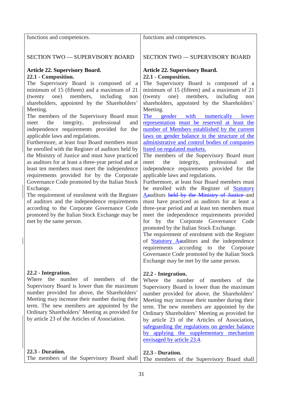functions and competences.

functions and competences.

# SECTION TWO — SUPERVISORY BOARD

### **Article 22. Supervisory Board. 22.1 - Composition.**

The Supervisory Board is composed of a minimum of 15 (fifteen) and a maximum of 21 (twenty one) members, including non shareholders, appointed by the Shareholders' Meeting.

The members of the Supervisory Board must meet the integrity, professional and independence requirements provided for the applicable laws and regulations.

Furthermore, at least four Board members must be enrolled with the Register of auditors held by the Ministry of Justice and must have practiced as auditors for at least a three-year period and at least ten members must meet the independence requirements provided for by the Corporate Governance Code promoted by the Italian Stock Exchange.

The requirement of enrolment with the Register of auditors and the independence requirements according to the Corporate Governance Code promoted by the Italian Stock Exchange may be met by the same person.

# **22.2 - Integration.**

Where the number of members of the Supervisory Board is lower than the maximum number provided for above, the Shareholders' Meeting may increase their number during their term. The new members are appointed by the Ordinary Shareholders' Meeting as provided for by article 23 of the Articles of Association.

# **22.3 - Duration.**

**22.3 - Duration.**

The members of the Supervisory Board shall The members of the Supervisory Board shall

SECTION TWO — SUPERVISORY BOARD

### **Article 22. Supervisory Board. 22.1 - Composition.**

The Supervisory Board is composed of a minimum of 15 (fifteen) and a maximum of 21 (twenty one) members, including non shareholders, appointed by the Shareholders' Meeting.

The gender with numerically lower representation must be reserved at least the number of Members established by the current laws on gender balance in the structure of the administrative and control bodies of companies listed on regulated markets.

The members of the Supervisory Board must meet the integrity, professional and independence requirements provided for the applicable laws and regulations.

Furthermore, at least four Board members must be enrolled with the Register of Statutory Aauditors held by the Ministry of Justice and must have practiced as auditors for at least a three-year period and at least ten members must meet the independence requirements provided for by the Corporate Governance Code promoted by the Italian Stock Exchange.

The requirement of enrolment with the Register of Statutory Aauditors and the independence requirements according to the Corporate Governance Code promoted by the Italian Stock Exchange may be met by the same person.

### **22.2 - Integration.**

Where the number of members of the Supervisory Board is lower than the maximum number provided for above, the Shareholders' Meeting may increase their number during their term. The new members are appointed by the Ordinary Shareholders' Meeting as provided for by article 23 of the Articles of Association, safeguarding the regulations on gender balance by applying the supplementary mechanism envisaged by article 23.4.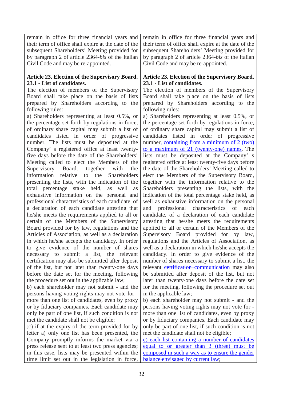remain in office for three financial years and their term of office shall expire at the date of the subsequent Shareholders' Meeting provided for by paragraph 2 of article 2364-*bis* of the Italian Civil Code and may be re-appointed.

### **Article 23. Election of the Supervisory Board. 23.1 - List of candidates.**

The election of members of the Supervisory Board shall take place on the basis of lists prepared by Shareholders according to the following rules:

a) Shareholders representing at least 0.5%, or the percentage set forth by regulations in force, of ordinary share capital may submit a list of candidates listed in order of progressive number. The lists must be deposited at the Company' s registered office at least twentyfive days before the date of the Shareholders' Meeting called to elect the Members of the Supervisory Board, together with the information relative to the Shareholders presenting the lists, with the indication of the total percentage stake held, as well as exhaustive information on the personal and professional characteristics of each candidate, of a declaration of each candidate attesting that he/she meets the requirements applied to all or certain of the Members of the Supervisory Board provided for by law, regulations and the Articles of Association, as well as a declaration in which he/she accepts the candidacy. In order to give evidence of the number of shares necessary to submit a list, the relevant certification may also be submitted after deposit of the list, but not later than twenty-one days before the date set for the meeting, following the procedure set out in the applicable law;

b) each shareholder may not submit - and the persons having voting rights may not vote for more than one list of candidates, even by proxy or by fiduciary companies. Each candidate may only be part of one list, if such condition is not met the candidate shall not be eligible;

;c) if at the expiry of the term provided for by letter a) only one list has been presented, the Company promptly informs the market via a press release sent to at least two press agencies; in this case, lists may be presented within the time limit set out in the legislation in force,

remain in office for three financial years and their term of office shall expire at the date of the subsequent Shareholders' Meeting provided for by paragraph 2 of article 2364-*bis* of the Italian Civil Code and may be re-appointed.

### **Article 23. Election of the Supervisory Board. 23.1 - List of candidates.**

The election of members of the Supervisory Board shall take place on the basis of lists prepared by Shareholders according to the following rules:

a) Shareholders representing at least 0.5%, or the percentage set forth by regulations in force, of ordinary share capital may submit a list of candidates listed in order of progressive number, containing from a minimum of 2 (two) to a maximum of 21 (twenty-one) names. The lists must be deposited at the Company' s registered office at least twenty-five days before the date of the Shareholders' Meeting called to elect the Members of the Supervisory Board, together with the information relative to the Shareholders presenting the lists, with the indication of the total percentage stake held, as well as exhaustive information on the personal and professional characteristics of each candidate, of a declaration of each candidate attesting that he/she meets the requirements applied to all or certain of the Members of the Supervisory Board provided for by law, regulations and the Articles of Association, as well as a declaration in which he/she accepts the candidacy. In order to give evidence of the number of shares necessary to submit a list, the relevant certification communication may also be submitted after deposit of the list, but not later than twenty-one days before the date set for the meeting, following the procedure set out in the applicable law;

b) each shareholder may not submit - and the persons having voting rights may not vote for more than one list of candidates, even by proxy or by fiduciary companies. Each candidate may only be part of one list, if such condition is not met the candidate shall not be eligible;

c) each list containing a number of candidates equal to or greater than 3 (three) must be composed in such a way as to ensure the gender balance envisaged by current law;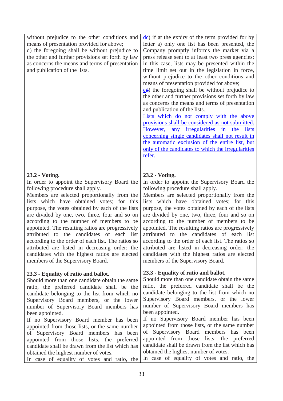without prejudice to the other conditions and means of presentation provided for above;

d) the foregoing shall be without prejudice to the other and further provisions set forth by law as concerns the means and terms of presentation and publication of the lists.

# **23.2 - Voting.**

In order to appoint the Supervisory Board the following procedure shall apply.

Members are selected proportionally from the lists which have obtained votes; for this purpose, the votes obtained by each of the lists are divided by one, two, three, four and so on according to the number of members to be appointed. The resulting ratios are progressively attributed to the candidates of each list according to the order of each list. The ratios so attributed are listed in decreasing order: the candidates with the highest ratios are elected members of the Supervisory Board.

# **23.3 - Equality of ratio and ballot.**

Should more than one candidate obtain the same ratio, the preferred candidate shall be the candidate belonging to the list from which no Supervisory Board members, or the lower number of Supervisory Board members has been appointed.

If no Supervisory Board member has been appointed from those lists, or the same number of Supervisory Board members has been appointed from those lists, the preferred candidate shall be drawn from the list which has obtained the highest number of votes.

de) if at the expiry of the term provided for by letter a) only one list has been presented, the Company promptly informs the market via a press release sent to at least two press agencies; in this case, lists may be presented within the time limit set out in the legislation in force, without prejudice to the other conditions and means of presentation provided for above;

ed) the foregoing shall be without prejudice to the other and further provisions set forth by law as concerns the means and terms of presentation and publication of the lists.

Lists which do not comply with the above provisions shall be considered as not submitted. However, any irregularities in the lists concerning single candidates shall not result in the automatic exclusion of the entire list, but only of the candidates to which the irregularities refer.

# **23.2 - Voting.**

In order to appoint the Supervisory Board the following procedure shall apply.

Members are selected proportionally from the lists which have obtained votes; for this purpose, the votes obtained by each of the lists are divided by one, two, three, four and so on according to the number of members to be appointed. The resulting ratios are progressively attributed to the candidates of each list according to the order of each list. The ratios so attributed are listed in decreasing order: the candidates with the highest ratios are elected members of the Supervisory Board.

# **23.3 - Equality of ratio and ballot.**

Should more than one candidate obtain the same ratio, the preferred candidate shall be the candidate belonging to the list from which no Supervisory Board members, or the lower number of Supervisory Board members has been appointed.

If no Supervisory Board member has been appointed from those lists, or the same number of Supervisory Board members has been appointed from those lists, the preferred candidate shall be drawn from the list which has obtained the highest number of votes.

In case of equality of votes and ratio, the In case of equality of votes and ratio, the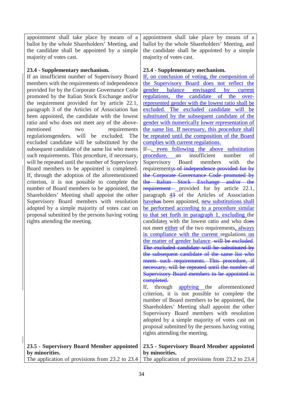appointment shall take place by means of a ballot by the whole Shareholders' Meeting, and the candidate shall be appointed by a simple majority of votes cast.

### **23.4 - Supplementary mechanism.**

If an insufficient number of Supervisory Board members with the requirements of independence provided for by the Corporate Governance Code promoted by the Italian Stock Exchange and/or the requirement provided for by article 22.1, paragraph 3 of the Articles of Association has been appointed, the candidate with the lowest ratio and who does not meet any of the abovementioned two requirements regulationsgenders. will be excluded. The excluded candidate will be substituted by the subsequent candidate of the same list who meets such requirements. This procedure, if necessary, will be repeated until the number of Supervisory Board members to be appointed is completed. If, through the adoption of the aforementioned criterion, it is not possible to complete the number of Board members to be appointed, the Shareholders' Meeting shall appoint the other Supervisory Board members with resolution adopted by a simple majority of votes cast on proposal submitted by the persons having voting rights attending the meeting.

appointment shall take place by means of a ballot by the whole Shareholders' Meeting, and the candidate shall be appointed by a simple majority of votes cast.

### **23.4 - Supplementary mechanism.**

If, on conclusion of voting, the composition of the Supervisory Board does not reflect the gender balance envisaged by current regulations, the candidate of the overrepresented gender with the lowest ratio shall be excluded. The excluded candidate will be substituted by the subsequent candidate of the gender with numerically lower representation of the same list. If necessary, this procedure shall be repeated until the composition of the Board complies with current regulations.

If  $-$ , even following the above substitution procedure, an insufficient number of Supervisory Board members with the requirements of independence provided for by the Corporate Governance Code promoted by the Italian Stock Exchange and/or the requirement— provided for by article 22.1, paragraph  $\frac{43}{9}$  of the Articles of Association havehas been appointed, new substitutions shall be performed according to a procedure similar to that set forth in paragraph 1, excluding the candidates with the lowest ratio and who does not meet either of the two requirements, always in compliance with the current regulations on the matter of gender balance. will be excluded. The excluded candidate will be substituted by the subsequent candidate of the same list who meets such requirements. This procedure, if necessary, will be repeated until the number of Supervisory Board members to be appointed is completed.

If, through applying the aforementioned criterion, it is not possible to complete the number of Board members to be appointed, the Shareholders' Meeting shall appoint the other Supervisory Board members with resolution adopted by a simple majority of votes cast on proposal submitted by the persons having voting rights attending the meeting.

|                | 23.5 - Supervisory Board Member appointed 23.5 - Supervisory Board Member appointed             |  |  |  |
|----------------|-------------------------------------------------------------------------------------------------|--|--|--|
| by minorities. | by minorities.                                                                                  |  |  |  |
|                | The application of provisions from 23.2 to 23.4 The application of provisions from 23.2 to 23.4 |  |  |  |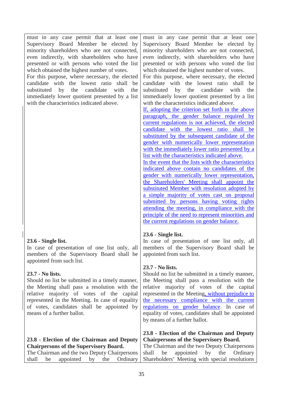must in any case permit that at least one Supervisory Board Member be elected by minority shareholders who are not connected, even indirectly, with shareholders who have presented or with persons who voted the list which obtained the highest number of votes.

For this purpose, where necessary, the elected candidate with the lowest ratio shall be substituted by the candidate with the immediately lower quotient presented by a list with the characteristics indicated above.

# **23.6 - Single list.**

In case of presentation of one list only, all members of the Supervisory Board shall be appointed from such list.

### **23.7 - No lists.**

Should no list be submitted in a timely manner, the Meeting shall pass a resolution with the relative majority of votes of the capital represented in the Meeting. In case of equality of votes, candidates shall be appointed by means of a further ballot.

# **23.8 - Election of the Chairman and Deputy Chairpersons of the Supervisory Board.**

The Chairman and the two Deputy Chairpersons shall be appointed by the Ordinary

must in any case permit that at least one Supervisory Board Member be elected by minority shareholders who are not connected, even indirectly, with shareholders who have presented or with persons who voted the list which obtained the highest number of votes.

For this purpose, where necessary, the elected candidate with the lowest ratio shall be substituted by the candidate with the immediately lower quotient presented by a list with the characteristics indicated above.

If, adopting the criterion set forth in the above paragraph, the gender balance required by current regulations is not achieved, the elected candidate with the lowest ratio shall be substituted by the subsequent candidate of the gender with numerically lower representation with the immediately lower ratio presented by a list with the characteristics indicated above.

In the event that the lists with the characteristics indicated above contain no candidates of the gender with numerically lower representation, the Shareholders' Meeting shall appoint the substituted Member with resolution adopted by a simple majority of votes cast on proposal submitted by persons having voting rights attending the meeting, in compliance with the principle of the need to represent minorities and the current regulations on gender balance.

### **23.6 - Single list.**

In case of presentation of one list only, all members of the Supervisory Board shall be appointed from such list.

### **23.7 - No lists.**

Should no list be submitted in a timely manner, the Meeting shall pass a resolution with the relative majority of votes of the capital represented in the Meeting, without prejudice to the necessary compliance with the current regulations on gender balance. In case of equality of votes, candidates shall be appointed by means of a further ballot.

### **23.8 - Election of the Chairman and Deputy Chairpersons of the Supervisory Board.**

The Chairman and the two Deputy Chairpersons shall be appointed by the Ordinary Shareholders' Meeting with special resolutions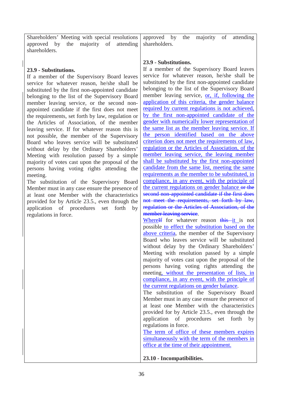Shareholders' Meeting with special resolutions approved by the majority of attending shareholders.

### **23.9 - Substitutions.**

If a member of the Supervisory Board leaves service for whatever reason, he/she shall be substituted by the first non-appointed candidate belonging to the list of the Supervisory Board member leaving service, or the second nonappointed candidate if the first does not meet the requirements, set forth by law, regulation or the Articles of Association, of the member leaving service. If for whatever reason this is not possible, the member of the Supervisory Board who leaves service will be substituted without delay by the Ordinary Shareholders' Meeting with resolution passed by a simple majority of votes cast upon the proposal of the persons having voting rights attending the meeting.

The substitution of the Supervisory Board Member must in any case ensure the presence of at least one Member with the characteristics provided for by Article 23.5., even through the application of procedures set forth by regulations in force.

approved by the majority of attending shareholders.

### **23.9 - Substitutions.**

If a member of the Supervisory Board leaves service for whatever reason, he/she shall be substituted by the first non-appointed candidate belonging to the list of the Supervisory Board member leaving service, or, if, following the application of this criteria, the gender balance required by current regulations is not achieved, by the first non-appointed candidate of the gender with numerically lower representation of the same list as the member leaving service. If the person identified based on the above criterion does not meet the requirements of law, regulation or the Articles of Association, of the member leaving service, the leaving member shall be substituted by the first non-appointed candidate from the same list, meeting the same requirements as the member to be substituted, in compliance, in any event, with the principle of the current regulations on gender balance or the second non-appointed candidate if the first does not meet the requirements, set forth by law, regulation or the Articles of Association, of the member leaving service.

Where<sup>If</sup> for whatever reason this it is not possible to effect the substitution based on the above criteria, the member of the Supervisory Board who leaves service will be substituted without delay by the Ordinary Shareholders' Meeting with resolution passed by a simple majority of votes cast upon the proposal of the persons having voting rights attending the meeting, without the presentation of lists, in compliance, in any event, with the principle of the current regulations on gender balance.

The substitution of the Supervisory Board Member must in any case ensure the presence of at least one Member with the characteristics provided for by Article 23.5., even through the application of procedures set forth by regulations in force.

The term of office of these members expires simultaneously with the term of the members in office at the time of their appointment.

**23.10 - Incompatibilities.**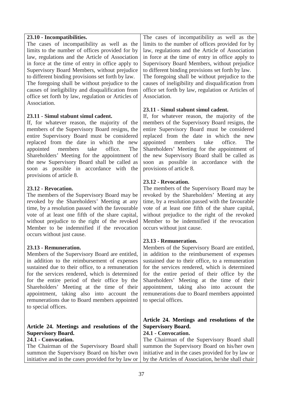| 23.10 - Incompatibilities.<br>The cases of incompatibility as well as the<br>limits to the number of offices provided for by<br>law, regulations and the Article of Association<br>in force at the time of entry in office apply to<br>Supervisory Board Members, without prejudice<br>to different binding provisions set forth by law.<br>The foregoing shall be without prejudice to the<br>causes of ineligibility and disqualification from<br>office set forth by law, regulation or Articles of<br>Association. | The cases of incompatibility as well as the<br>limits to the number of offices provided for by<br>law, regulations and the Article of Association<br>in force at the time of entry in office apply to<br>Supervisory Board Members, without prejudice<br>to different binding provisions set forth by law.<br>The foregoing shall be without prejudice to the<br>causes of ineligibility and disqualification from<br>office set forth by law, regulation or Articles of<br>Association. |
|------------------------------------------------------------------------------------------------------------------------------------------------------------------------------------------------------------------------------------------------------------------------------------------------------------------------------------------------------------------------------------------------------------------------------------------------------------------------------------------------------------------------|------------------------------------------------------------------------------------------------------------------------------------------------------------------------------------------------------------------------------------------------------------------------------------------------------------------------------------------------------------------------------------------------------------------------------------------------------------------------------------------|
| 23.11 - Simul stabunt simul cadent.                                                                                                                                                                                                                                                                                                                                                                                                                                                                                    | 23.11 - Simul stabunt simul cadent.                                                                                                                                                                                                                                                                                                                                                                                                                                                      |
| If, for whatever reason, the majority of the                                                                                                                                                                                                                                                                                                                                                                                                                                                                           | If, for whatever reason, the majority of the                                                                                                                                                                                                                                                                                                                                                                                                                                             |
| members of the Supervisory Board resigns, the                                                                                                                                                                                                                                                                                                                                                                                                                                                                          | members of the Supervisory Board resigns, the                                                                                                                                                                                                                                                                                                                                                                                                                                            |
| entire Supervisory Board must be considered                                                                                                                                                                                                                                                                                                                                                                                                                                                                            | entire Supervisory Board must be considered                                                                                                                                                                                                                                                                                                                                                                                                                                              |
| replaced from the date in which the new                                                                                                                                                                                                                                                                                                                                                                                                                                                                                | replaced from the date in which the new                                                                                                                                                                                                                                                                                                                                                                                                                                                  |
| take                                                                                                                                                                                                                                                                                                                                                                                                                                                                                                                   | take                                                                                                                                                                                                                                                                                                                                                                                                                                                                                     |
| office.                                                                                                                                                                                                                                                                                                                                                                                                                                                                                                                | appointed                                                                                                                                                                                                                                                                                                                                                                                                                                                                                |
| The                                                                                                                                                                                                                                                                                                                                                                                                                                                                                                                    | members                                                                                                                                                                                                                                                                                                                                                                                                                                                                                  |
| appointed                                                                                                                                                                                                                                                                                                                                                                                                                                                                                                              | office.                                                                                                                                                                                                                                                                                                                                                                                                                                                                                  |
| members                                                                                                                                                                                                                                                                                                                                                                                                                                                                                                                | The                                                                                                                                                                                                                                                                                                                                                                                                                                                                                      |
| Shareholders' Meeting for the appointment of                                                                                                                                                                                                                                                                                                                                                                                                                                                                           | Shareholders' Meeting for the appointment of                                                                                                                                                                                                                                                                                                                                                                                                                                             |
| the new Supervisory Board shall be called as                                                                                                                                                                                                                                                                                                                                                                                                                                                                           | the new Supervisory Board shall be called as                                                                                                                                                                                                                                                                                                                                                                                                                                             |
| soon as possible in accordance with the                                                                                                                                                                                                                                                                                                                                                                                                                                                                                | soon as possible in accordance with the                                                                                                                                                                                                                                                                                                                                                                                                                                                  |
| provisions of article 8.                                                                                                                                                                                                                                                                                                                                                                                                                                                                                               | provisions of article 8.                                                                                                                                                                                                                                                                                                                                                                                                                                                                 |
| 23.12 - Revocation.                                                                                                                                                                                                                                                                                                                                                                                                                                                                                                    | 23.12 - Revocation.                                                                                                                                                                                                                                                                                                                                                                                                                                                                      |
| The members of the Supervisory Board may be                                                                                                                                                                                                                                                                                                                                                                                                                                                                            | The members of the Supervisory Board may be                                                                                                                                                                                                                                                                                                                                                                                                                                              |
| revoked by the Shareholders' Meeting at any                                                                                                                                                                                                                                                                                                                                                                                                                                                                            | revoked by the Shareholders' Meeting at any                                                                                                                                                                                                                                                                                                                                                                                                                                              |
| time, by a resolution passed with the favourable                                                                                                                                                                                                                                                                                                                                                                                                                                                                       | time, by a resolution passed with the favourable                                                                                                                                                                                                                                                                                                                                                                                                                                         |
| vote of at least one fifth of the share capital,                                                                                                                                                                                                                                                                                                                                                                                                                                                                       | vote of at least one fifth of the share capital,                                                                                                                                                                                                                                                                                                                                                                                                                                         |
| without prejudice to the right of the revoked                                                                                                                                                                                                                                                                                                                                                                                                                                                                          | without prejudice to the right of the revoked                                                                                                                                                                                                                                                                                                                                                                                                                                            |
| Member to be indemnified if the revocation                                                                                                                                                                                                                                                                                                                                                                                                                                                                             | Member to be indemnified if the revocation                                                                                                                                                                                                                                                                                                                                                                                                                                               |
| occurs without just cause.                                                                                                                                                                                                                                                                                                                                                                                                                                                                                             | occurs without just cause.                                                                                                                                                                                                                                                                                                                                                                                                                                                               |
| 23.13 - Remuneration                                                                                                                                                                                                                                                                                                                                                                                                                                                                                                   | 23.13 - Remuneration.                                                                                                                                                                                                                                                                                                                                                                                                                                                                    |
| Members of the Supervisory Board are entitled,                                                                                                                                                                                                                                                                                                                                                                                                                                                                         | Members of the Supervisory Board are entitled,                                                                                                                                                                                                                                                                                                                                                                                                                                           |
| in addition to the reimbursement of expenses                                                                                                                                                                                                                                                                                                                                                                                                                                                                           | in addition to the reimbursement of expenses                                                                                                                                                                                                                                                                                                                                                                                                                                             |
| sustained due to their office, to a remuneration                                                                                                                                                                                                                                                                                                                                                                                                                                                                       | sustained due to their office, to a remuneration                                                                                                                                                                                                                                                                                                                                                                                                                                         |
| for the services rendered, which is determined                                                                                                                                                                                                                                                                                                                                                                                                                                                                         | for the services rendered, which is determined                                                                                                                                                                                                                                                                                                                                                                                                                                           |
| for the entire period of their office by the                                                                                                                                                                                                                                                                                                                                                                                                                                                                           | for the entire period of their office by the                                                                                                                                                                                                                                                                                                                                                                                                                                             |
| Shareholders' Meeting at the time of their                                                                                                                                                                                                                                                                                                                                                                                                                                                                             | Shareholders' Meeting at the time of their                                                                                                                                                                                                                                                                                                                                                                                                                                               |
| appointment, taking also into account the                                                                                                                                                                                                                                                                                                                                                                                                                                                                              | appointment, taking also into account the                                                                                                                                                                                                                                                                                                                                                                                                                                                |
| remunerations due to Board members appointed                                                                                                                                                                                                                                                                                                                                                                                                                                                                           | remunerations due to Board members appointed                                                                                                                                                                                                                                                                                                                                                                                                                                             |
| to special offices.                                                                                                                                                                                                                                                                                                                                                                                                                                                                                                    | to special offices.                                                                                                                                                                                                                                                                                                                                                                                                                                                                      |
| Article 24. Meetings and resolutions of the<br><b>Supervisory Board.</b><br>24.1 - Convocation.<br>The Chairman of the Supervisory Board shall<br>summon the Supervisory Board on his/her own<br>initiative and in the cases provided for by law or                                                                                                                                                                                                                                                                    | Article 24. Meetings and resolutions of the<br><b>Supervisory Board.</b><br>24.1 - Convocation.<br>The Chairman of the Supervisory Board shall<br>summon the Supervisory Board on his/her own<br>initiative and in the cases provided for by law or<br>by the Articles of Association, he/she shall chair                                                                                                                                                                                |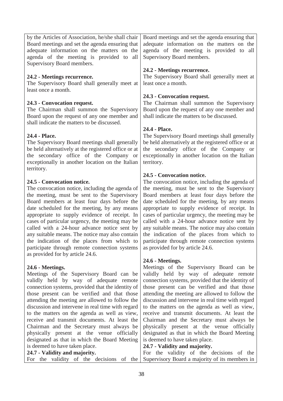by the Articles of Association, he/she shall chair Board meetings and set the agenda ensuring that adequate information on the matters on the agenda of the meeting is provided to all Supervisory Board members. Board meetings and set the agenda ensuring that adequate information on the matters on the agenda of the meeting is provided to all Supervisory Board members.

### **24.2 - Meetings recurrence.**

The Supervisory Board shall generally meet at least once a month.

### **24.3 - Convocation request.**

The Chairman shall summon the Supervisory Board upon the request of any one member and shall indicate the matters to be discussed.

### **24.4 - Place.**

The Supervisory Board meetings shall generally be held alternatively at the registered office or at the secondary office of the Company or exceptionally in another location on the Italian territory.

### **24.5 - Convocation notice.**

The convocation notice, including the agenda of the meeting, must be sent to the Supervisory Board members at least four days before the date scheduled for the meeting, by any means appropriate to supply evidence of receipt. In cases of particular urgency, the meeting may be called with a 24-hour advance notice sent by any suitable means. The notice may also contain the indication of the places from which to participate through remote connection systems as provided for by article 24.6.

### **24.6 - Meetings.**

Meetings of the Supervisory Board can be validly held by way of adequate remote connection systems, provided that the identity of those present can be verified and that those attending the meeting are allowed to follow the discussion and intervene in real time with regard to the matters on the agenda as well as view, receive and transmit documents. At least the Chairman and the Secretary must always be physically present at the venue officially designated as that in which the Board Meeting is deemed to have taken place.

#### **24.7 - Validity and majority.**

For the validity of the decisions of the

### **24.2 - Meetings recurrence.**

The Supervisory Board shall generally meet at least once a month.

### **24.3 - Convocation request.**

The Chairman shall summon the Supervisory Board upon the request of any one member and shall indicate the matters to be discussed.

### **24.4 - Place.**

The Supervisory Board meetings shall generally be held alternatively at the registered office or at the secondary office of the Company or exceptionally in another location on the Italian territory.

### **24.5 - Convocation notice.**

The convocation notice, including the agenda of the meeting, must be sent to the Supervisory Board members at least four days before the date scheduled for the meeting, by any means appropriate to supply evidence of receipt. In cases of particular urgency, the meeting may be called with a 24-hour advance notice sent by any suitable means. The notice may also contain the indication of the places from which to participate through remote connection systems as provided for by article 24.6.

### **24.6 - Meetings.**

Meetings of the Supervisory Board can be validly held by way of adequate remote connection systems, provided that the identity of those present can be verified and that those attending the meeting are allowed to follow the discussion and intervene in real time with regard to the matters on the agenda as well as view, receive and transmit documents. At least the Chairman and the Secretary must always be physically present at the venue officially designated as that in which the Board Meeting is deemed to have taken place.

### **24.7 - Validity and majority.**

For the validity of the decisions of the Supervisory Board a majority of its members in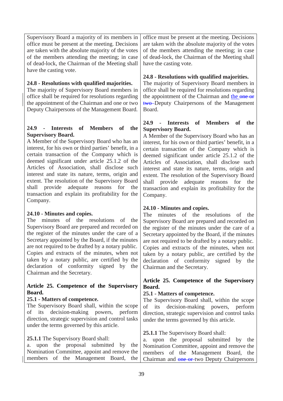Supervisory Board a majority of its members in office must be present at the meeting. Decisions are taken with the absolute majority of the votes of the members attending the meeting; in case of dead-lock, the Chairman of the Meeting shall have the casting vote.

### **24.8 - Resolutions with qualified majorities.**

The majority of Supervisory Board members in office shall be required for resolutions regarding the appointment of the Chairman and one or two Deputy Chairpersons of the Management Board.

# **24.9 - Interests of Members of the Supervisory Board.**

A Member of the Supervisory Board who has an interest, for his own or third parties' benefit, in a certain transaction of the Company which is deemed significant under article 25.1.2 of the Articles of Association, shall disclose such interest and state its nature, terms, origin and extent. The resolution of the Supervisory Board shall provide adequate reasons for the transaction and explain its profitability for the Company.

# **24.10 - Minutes and copies.**

The minutes of the resolutions of the Supervisory Board are prepared and recorded on the register of the minutes under the care of a Secretary appointed by the Board, if the minutes are not required to be drafted by a notary public. Copies and extracts of the minutes, when not taken by a notary public, are certified by the declaration of conformity signed by the Chairman and the Secretary.

### **Article 25. Competence of the Supervisory Board.**

### **25.1 - Matters of competence.**

The Supervisory Board shall, within the scope of its decision-making powers, perform direction, strategic supervision and control tasks under the terms governed by this article.

### **25.1.1** The Supervisory Board shall:

a. upon the proposal submitted by the Nomination Committee, appoint and remove the members of the Management Board, the

office must be present at the meeting. Decisions are taken with the absolute majority of the votes of the members attending the meeting; in case of dead-lock, the Chairman of the Meeting shall have the casting vote.

### **24.8 - Resolutions with qualified majorities.**

The majority of Supervisory Board members in office shall be required for resolutions regarding the appointment of the Chairman and the one or two Deputy Chairpersons of the Management Board.

### **24.9 - Interests of Members of the Supervisory Board.**

A Member of the Supervisory Board who has an interest, for his own or third parties' benefit, in a certain transaction of the Company which is deemed significant under article 25.1.2 of the Articles of Association, shall disclose such interest and state its nature, terms, origin and extent. The resolution of the Supervisory Board shall provide adequate reasons for the transaction and explain its profitability for the Company.

### **24.10 - Minutes and copies.**

The minutes of the resolutions of the Supervisory Board are prepared and recorded on the register of the minutes under the care of a Secretary appointed by the Board, if the minutes are not required to be drafted by a notary public. Copies and extracts of the minutes, when not taken by a notary public, are certified by the declaration of conformity signed by the Chairman and the Secretary.

### **Article 25. Competence of the Supervisory Board.**

### **25.1 - Matters of competence.**

The Supervisory Board shall, within the scope of its decision-making powers, perform direction, strategic supervision and control tasks under the terms governed by this article.

### **25.1.1** The Supervisory Board shall:

a. upon the proposal submitted by the Nomination Committee, appoint and remove the members of the Management Board, the Chairman and one or two Deputy Chairpersons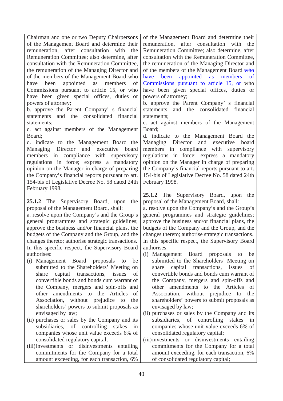Chairman and one or two Deputy Chairpersons of the Management Board and determine their remuneration, after consultation with the Remuneration Committee; also determine, after consultation with the Remuneration Committee, the remuneration of the Managing Director and of the members of the Management Board who have been appointed as members of Commissions pursuant to article 15, or who have been given special offices, duties or powers of attorney;

b. approve the Parent Company' s financial statements and the consolidated financial statements;

c. act against members of the Management Board;

d. indicate to the Management Board the Managing Director and executive board members in compliance with supervisory regulations in force; express a mandatory opinion on the Manager in charge of preparing the Company's financial reports pursuant to art. 154-bis of Legislative Decree No. 58 dated 24th February 1998.

**25.1.2** The Supervisory Board, upon the proposal of the Management Board, shall:

a. resolve upon the Company's and the Group's general programmes and strategic guidelines; approve the business and/or financial plans, the budgets of the Company and the Group, and the changes thereto; authorise strategic transactions. In this specific respect, the Supervisory Board authorises:

- (i) Management Board proposals to be submitted to the Shareholders' Meeting on share capital transactions, issues of convertible bonds and bonds cum warrant of the Company, mergers and spin-offs and other amendments to the Articles of Association, without prejudice to the shareholders' powers to submit proposals as envisaged by law;
- (ii) purchases or sales by the Company and its subsidiaries, of controlling stakes in companies whose unit value exceeds 6% of consolidated regulatory capital;
- (iii)investments or disinvestments entailing commitments for the Company for a total amount exceeding, for each transaction, 6%

of the Management Board and determine their remuneration, after consultation with the Remuneration Committee; also determine, after consultation with the Remuneration Committee, the remuneration of the Managing Director and of the members of the Management Board who have been appointed as members of Commissions pursuant to article 15, or who have been given special offices, duties or powers of attorney;

b. approve the Parent Company' s financial statements and the consolidated financial statements;

c. act against members of the Management Board;

d. indicate to the Management Board the Managing Director and executive board members in compliance with supervisory regulations in force; express a mandatory opinion on the Manager in charge of preparing the Company's financial reports pursuant to art. 154-bis of Legislative Decree No. 58 dated 24th February 1998.

**25.1.2** The Supervisory Board, upon the proposal of the Management Board, shall:

a. resolve upon the Company's and the Group's general programmes and strategic guidelines; approve the business and/or financial plans, the budgets of the Company and the Group, and the changes thereto; authorise strategic transactions. In this specific respect, the Supervisory Board authorises:

- (i) Management Board proposals to be submitted to the Shareholders' Meeting on share capital transactions, issues of convertible bonds and bonds cum warrant of the Company, mergers and spin-offs and other amendments to the Articles of Association, without prejudice to the shareholders' powers to submit proposals as envisaged by law;
- (ii) purchases or sales by the Company and its subsidiaries, of controlling stakes in companies whose unit value exceeds 6% of consolidated regulatory capital;
- (iii)investments or disinvestments entailing commitments for the Company for a total amount exceeding, for each transaction, 6% of consolidated regulatory capital;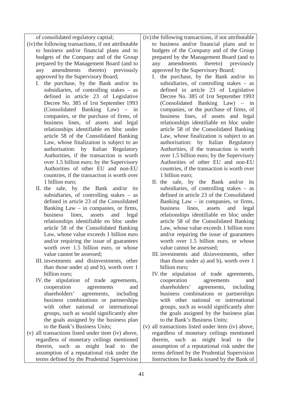of consolidated regulatory capital;

- (iv)the following transactions, if not attributable to business and/or financial plans and to budgets of the Company and of the Group prepared by the Management Board (and to any amendments thereto) previously approved by the Supervisory Board;
	- I. the purchase, by the Bank and/or its subsidiaries, of controlling stakes – as defined in article 23 of Legislative Decree No. 385 of 1rst September 1993 (Consolidated Banking Law) – in companies, or the purchase of firms, of business lines, of assets and legal relationships identifiable en bloc under article 58 of the Consolidated Banking Law, whose finalization is subject to an authorisation: by Italian Regulatory Authorities, if the transaction is worth over 1.5 billion euro; by the Supervisory Authorities of other EU and non-EU countries, if the transaction is worth over 1 billion euro;
	- II. the sale, by the Bank and/or its subsidiaries, of controlling stakes – as defined in article 23 of the Consolidated Banking Law – in companies, or firms, business lines, assets and legal relationships identifiable en bloc under article 58 of the Consolidated Banking Law, whose value exceeds 1 billion euro and/or requiring the issue of guarantees worth over 1.5 billion euro, or whose value cannot be assessed;
	- III. investments and disinvestments, other than those under a) and b), worth over 1 billion euro;
	- IV.the stipulation of trade agreements, cooperation agreements and shareholders' agreements, including business combinations or partnerships with other national or international groups, such as would significantly alter the goals assigned by the business plan to the Bank's Business Units;
- (v) all transactions listed under item (iv) above, regardless of monetary ceilings mentioned therein, such as might lead to the assumption of a reputational risk under the terms defined by the Prudential Supervision

(iv) the following transactions, if not attributable to business and/or financial plans and to budgets of the Company and of the Group prepared by the Management Board (and to any amendments thereto) previously approved by the Supervisory Board;

- I. the purchase, by the Bank and/or its subsidiaries, of controlling stakes – as defined in article 23 of Legislative Decree No. 385 of 1rst September 1993 (Consolidated Banking Law) – in companies, or the purchase of firms, of business lines, of assets and legal relationships identifiable en bloc under article 58 of the Consolidated Banking Law, whose finalization is subject to an authorisation: by Italian Regulatory Authorities, if the transaction is worth over 1.5 billion euro; by the Supervisory Authorities of other EU and non-EU countries, if the transaction is worth over 1 billion euro;
- II. the sale, by the Bank and/or its subsidiaries, of controlling stakes – as defined in article 23 of the Consolidated Banking Law – in companies, or firms, business lines, assets and legal relationships identifiable en bloc under article 58 of the Consolidated Banking Law, whose value exceeds 1 billion euro and/or requiring the issue of guarantees worth over 1.5 billion euro, or whose value cannot be assessed;
- III. investments and disinvestments, other than those under a) and b), worth over 1 billion euro;
- IV.the stipulation of trade agreements, cooperation agreements and shareholders' agreements, including business combinations or partnerships with other national or international groups, such as would significantly alter the goals assigned by the business plan to the Bank's Business Units;
- (v) all transactions listed under item (iv) above, regardless of monetary ceilings mentioned therein, such as might lead to the assumption of a reputational risk under the terms defined by the Prudential Supervision Instructions for Banks issued by the Bank of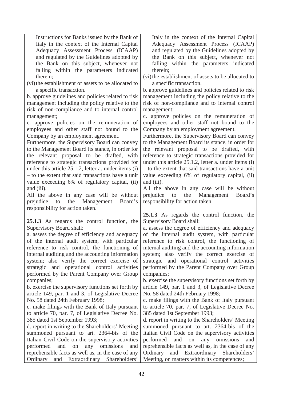Instructions for Banks issued by the Bank of Italy in the context of the Internal Capital Adequacy Assessment Process (ICAAP) and regulated by the Guidelines adopted by the Bank on this subject, whenever not falling within the parameters indicated therein;

(vi) the establishment of assets to be allocated to a specific transaction.

b. approve guidelines and policies related to risk management including the policy relative to the risk of non-compliance and to internal control management;

c. approve policies on the remuneration of employees and other staff not bound to the Company by an employment agreement.

Furthermore, the Supervisory Board can convey to the Management Board its stance, in order for the relevant proposal to be drafted, with reference to strategic transactions provided for under this article 25.1.2, letter a. under items (i) – to the extent that said transactions have a unit value exceeding 6% of regulatory capital, (ii) and (iii).

All the above in any case will be without prejudice to the Management Board's responsibility for action taken.

**25.1.3** As regards the control function, the Supervisory Board shall:

a. assess the degree of efficiency and adequacy of the internal audit system, with particular reference to risk control, the functioning of internal auditing and the accounting information system; also verify the correct exercise of strategic and operational control activities performed by the Parent Company over Group companies;

b. exercise the supervisory functions set forth by article 149, par. 1 and 3, of Legislative Decree No. 58 dated 24th February 1998;

c. make filings with the Bank of Italy pursuant to article 70, par. 7, of Legislative Decree No. 385 dated 1st September 1993;

d. report in writing to the Shareholders' Meeting summoned pursuant to art. 2364-bis of the Italian Civil Code on the supervisory activities performed and on any omissions and reprehensible facts as well as, in the case of any Ordinary and Extraordinary Shareholders'

Italy in the context of the Internal Capital Adequacy Assessment Process (ICAAP) and regulated by the Guidelines adopted by the Bank on this subject, whenever not falling within the parameters indicated therein;

(vi) the establishment of assets to be allocated to a specific transaction.

b. approve guidelines and policies related to risk management including the policy relative to the risk of non-compliance and to internal control management;

c. approve policies on the remuneration of employees and other staff not bound to the Company by an employment agreement.

Furthermore, the Supervisory Board can convey to the Management Board its stance, in order for the relevant proposal to be drafted, with reference to strategic transactions provided for under this article 25.1.2, letter a. under items (i) – to the extent that said transactions have a unit value exceeding 6% of regulatory capital, (ii) and (iii).

All the above in any case will be without prejudice to the Management Board's responsibility for action taken.

**25.1.3** As regards the control function, the Supervisory Board shall:

a. assess the degree of efficiency and adequacy of the internal audit system, with particular reference to risk control, the functioning of internal auditing and the accounting information system; also verify the correct exercise of strategic and operational control activities performed by the Parent Company over Group companies;

b. exercise the supervisory functions set forth by article 149, par. 1 and 3, of Legislative Decree No. 58 dated 24th February 1998;

c. make filings with the Bank of Italy pursuant to article 70, par. 7, of Legislative Decree No. 385 dated 1st September 1993;

d. report in writing to the Shareholders' Meeting summoned pursuant to art. 2364-bis of the Italian Civil Code on the supervisory activities performed and on any omissions and reprehensible facts as well as, in the case of any Ordinary and Extraordinary Shareholders' Meeting, on matters within its competences;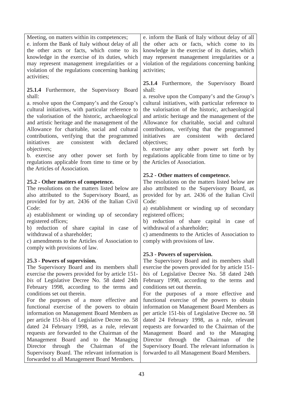43 Meeting, on matters within its competences; e. inform the Bank of Italy without delay of all the other acts or facts, which come to its knowledge in the exercise of its duties, which may represent management irregularities or a violation of the regulations concerning banking activities; **25.1.4** Furthermore, the Supervisory Board shall: a. resolve upon the Company's and the Group's cultural initiatives, with particular reference to the valorisation of the historic, archaeological and artistic heritage and the management of the Allowance for charitable, social and cultural contributions, verifying that the programmed initiatives are consistent with declared objectives; b. exercise any other power set forth by regulations applicable from time to time or by the Articles of Association. **25.2 - Other matters of competence.** The resolutions on the matters listed below are also attributed to the Supervisory Board, as provided for by art. 2436 of the Italian Civil Code: a) establishment or winding up of secondary registered offices; b) reduction of share capital in case of withdrawal of a shareholder; c) amendments to the Articles of Association to comply with provisions of law. **25.3 - Powers of supervision.** The Supervisory Board and its members shall exercise the powers provided for by article 151 *bis* of Legislative Decree No. 58 dated 24th February 1998, according to the terms and conditions set out therein. For the purposes of a more effective and functional exercise of the powers to obtain information on Management Board Members as per article 151-bis of Legislative Decree no. 58 dated 24 February 1998, as a rule, relevant requests are forwarded to the Chairman of the Management Board and to the Managing Director through the Chairman of the Supervisory Board. The relevant information is forwarded to all Management Board Members. e. inform the Bank of Italy without delay of all the other acts or facts, which come to its knowledge in the exercise of its duties, which may represent management irregularities or a violation of the regulations concerning banking activities; **25.1.4** Furthermore, the Supervisory Board shall: a. resolve upon the Company's and the Group's cultural initiatives, with particular reference to the valorisation of the historic, archaeological and artistic heritage and the management of the Allowance for charitable, social and cultural contributions, verifying that the programmed initiatives are consistent with declared objectives; b. exercise any other power set forth by regulations applicable from time to time or by the Articles of Association. **25.2 - Other matters of competence.** The resolutions on the matters listed below are also attributed to the Supervisory Board, as provided for by art. 2436 of the Italian Civil Code: a) establishment or winding up of secondary registered offices; b) reduction of share capital in case of withdrawal of a shareholder; c) amendments to the Articles of Association to comply with provisions of law. **25.3 - Powers of supervision.** The Supervisory Board and its members shall exercise the powers provided for by article 151 *bis* of Legislative Decree No. 58 dated 24th February 1998, according to the terms and conditions set out therein. For the purposes of a more effective and functional exercise of the powers to obtain information on Management Board Members as per article 151-bis of Legislative Decree no. 58 dated 24 February 1998, as a rule, relevant requests are forwarded to the Chairman of the Management Board and to the Managing Director through the Chairman of the Supervisory Board. The relevant information is forwarded to all Management Board Members.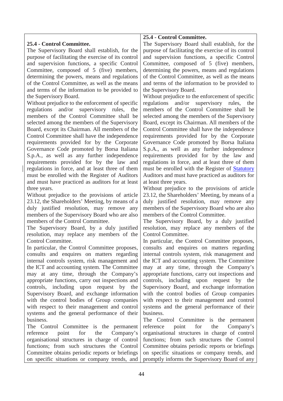# **25.4 - Control Committee.**

The Supervisory Board shall establish, for the purpose of facilitating the exercise of its control and supervision functions, a specific Control Committee, composed of 5 (five) members, determining the powers, means and regulations of the Control Committee, as well as the means and terms of the information to be provided to the Supervisory Board.

Without prejudice to the enforcement of specific regulations and/or supervisory rules, the members of the Control Committee shall be selected among the members of the Supervisory Board, except its Chairman. All members of the Control Committee shall have the independence requirements provided for by the Corporate Governance Code promoted by Borsa Italiana S.p.A., as well as any further independence requirements provided for by the law and regulations in force, and at least three of them must be enrolled with the Register of Auditors and must have practiced as auditors for at least three years.

Without prejudice to the provisions of article 23.12, the Shareholders' Meeting, by means of a duly justified resolution, may remove any members of the Supervisory Board who are also members of the Control Committee.

The Supervisory Board, by a duly justified resolution, may replace any members of the Control Committee.

In particular, the Control Committee proposes, consults and enquires on matters regarding internal controls system, risk management and the ICT and accounting system. The Committee may at any time, through the Company's appropriate functions, carry out inspections and controls, including upon request by the Supervisory Board, and exchange information with the control bodies of Group companies with respect to their management and control systems and the general performance of their business.

The Control Committee is the permanent reference point for the Company's organisational structures in charge of control functions; from such structures the Control Committee obtains periodic reports or briefings on specific situations or company trends, and

# **25.4 - Control Committee.**

The Supervisory Board shall establish, for the purpose of facilitating the exercise of its control and supervision functions, a specific Control Committee, composed of 5 (five) members, determining the powers, means and regulations of the Control Committee, as well as the means and terms of the information to be provided to the Supervisory Board.

Without prejudice to the enforcement of specific regulations and/or supervisory rules, the members of the Control Committee shall be selected among the members of the Supervisory Board, except its Chairman. All members of the Control Committee shall have the independence requirements provided for by the Corporate Governance Code promoted by Borsa Italiana S.p.A., as well as any further independence requirements provided for by the law and regulations in force, and at least three of them must be enrolled with the Register of Statutory Auditors and must have practiced as auditors for at least three years.

Without prejudice to the provisions of article 23.12, the Shareholders' Meeting, by means of a duly justified resolution, may remove any members of the Supervisory Board who are also members of the Control Committee.

The Supervisory Board, by a duly justified resolution, may replace any members of the Control Committee.

In particular, the Control Committee proposes, consults and enquires on matters regarding internal controls system, risk management and the ICT and accounting system. The Committee may at any time, through the Company's appropriate functions, carry out inspections and controls, including upon request by the Supervisory Board, and exchange information with the control bodies of Group companies with respect to their management and control systems and the general performance of their business.

The Control Committee is the permanent reference point for the Company's organisational structures in charge of control functions; from such structures the Control Committee obtains periodic reports or briefings on specific situations or company trends, and promptly informs the Supervisory Board of any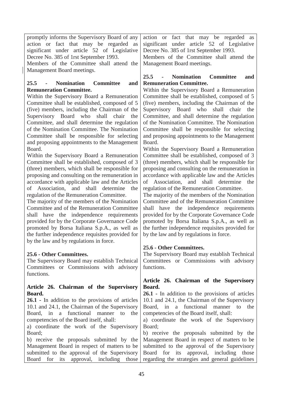promptly informs the Supervisory Board of any action or fact that may be regarded as significant under article 52 of Legislative Decree No. 385 of 1rst September 1993.

Members of the Committee shall attend the Management Board meetings.

### **25.5 - Nomination Committee and Remuneration Committee.**

Within the Supervisory Board a Remuneration Committee shall be established, composed of 5 (five) members, including the Chairman of the Supervisory Board who shall chair the Committee, and shall determine the regulation of the Nomination Committee. The Nomination Committee shall be responsible for selecting and proposing appointments to the Management Board.

Within the Supervisory Board a Remuneration Committee shall be established, composed of 3 (three) members, which shall be responsible for proposing and consulting on the remuneration in accordance with applicable law and the Articles of Association, and shall determine the regulation of the Remuneration Committee.

The majority of the members of the Nomination Committee and of the Remuneration Committee shall have the independence requirements provided for by the Corporate Governance Code promoted by Borsa Italiana S.p.A., as well as the further independence requisites provided for by the law and by regulations in force.

# **25.6 - Other Committees.**

The Supervisory Board may establish Technical Committees or Commissions with advisory functions.

### **Article 26. Chairman of the Supervisory Board.**

**26.1 -** In addition to the provisions of articles 10.1 and 24.1, the Chairman of the Supervisory Board, in a functional manner to the competencies of the Board itself, shall:

a) coordinate the work of the Supervisory Board;

b) receive the proposals submitted by the Management Board in respect of matters to be submitted to the approval of the Supervisory Board for its approval, including those

action or fact that may be regarded as significant under article 52 of Legislative Decree No. 385 of 1rst September 1993.

Members of the Committee shall attend the Management Board meetings.

# **25.5 - Nomination Committee and Remuneration Committee.**

Within the Supervisory Board a Remuneration Committee shall be established, composed of 5 (five) members, including the Chairman of the Supervisory Board who shall chair the Committee, and shall determine the regulation of the Nomination Committee. The Nomination Committee shall be responsible for selecting and proposing appointments to the Management Board.

Within the Supervisory Board a Remuneration Committee shall be established, composed of 3 (three) members, which shall be responsible for proposing and consulting on the remuneration in accordance with applicable law and the Articles of Association, and shall determine the regulation of the Remuneration Committee.

The majority of the members of the Nomination Committee and of the Remuneration Committee shall have the independence requirements provided for by the Corporate Governance Code promoted by Borsa Italiana S.p.A., as well as the further independence requisites provided for by the law and by regulations in force.

# **25.6 - Other Committees.**

The Supervisory Board may establish Technical Committees or Commissions with advisory functions.

### **Article 26. Chairman of the Supervisory Board.**

**26.1 -** In addition to the provisions of articles 10.1 and 24.1, the Chairman of the Supervisory Board, in a functional manner to the competencies of the Board itself, shall:

a) coordinate the work of the Supervisory Board;

b) receive the proposals submitted by the Management Board in respect of matters to be submitted to the approval of the Supervisory Board for its approval, including those regarding the strategies and general guidelines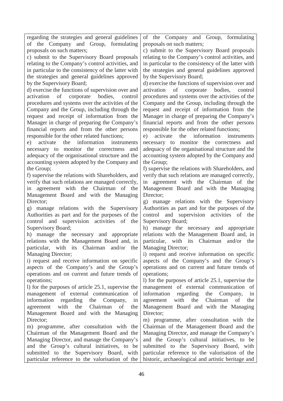regarding the strategies and general guidelines of the Company and Group, formulating proposals on such matters;

c) submit to the Supervisory Board proposals relating to the Company's control activities, and in particular to the consistency of the latter with the strategies and general guidelines approved by the Supervisory Board;

d) exercise the functions of supervision over and activation of corporate bodies, control procedures and systems over the activities of the Company and the Group, including through the request and receipt of information from the Manager in charge of preparing the Company's financial reports and from the other persons responsible for the other related functions;

e) activate the information instruments necessary to monitor the correctness and adequacy of the organisational structure and the accounting system adopted by the Company and the Group;

f) supervise the relations with Shareholders, and verify that such relations are managed correctly, in agreement with the Chairman of the Management Board and with the Managing Director:

g) manage relations with the Supervisory Authorities as part and for the purposes of the control and supervision activities of the Supervisory Board;

h) manage the necessary and appropriate relations with the Management Board and, in particular, with its Chairman and/or the Managing Director;

i) request and receive information on specific aspects of the Company's and the Group's operations and on current and future trends of operations;

l) for the purposes of article 25.1, supervise the management of external communication of information regarding the Company, in agreement with the Chairman of the Management Board and with the Managing Director:

m) programme, after consultation with the Chairman of the Management Board and the Managing Director, and manage the Company's and the Group's cultural initiatives, to be submitted to the Supervisory Board, with particular reference to the valorisation of the

of the Company and Group, formulating proposals on such matters;

c) submit to the Supervisory Board proposals relating to the Company's control activities, and in particular to the consistency of the latter with the strategies and general guidelines approved by the Supervisory Board;

d) exercise the functions of supervision over and activation of corporate bodies, control procedures and systems over the activities of the Company and the Group, including through the request and receipt of information from the Manager in charge of preparing the Company's financial reports and from the other persons responsible for the other related functions;

e) activate the information instruments necessary to monitor the correctness and adequacy of the organisational structure and the accounting system adopted by the Company and the Group;

f) supervise the relations with Shareholders, and verify that such relations are managed correctly, in agreement with the Chairman of the Management Board and with the Managing Director;

g) manage relations with the Supervisory Authorities as part and for the purposes of the control and supervision activities of the Supervisory Board;

h) manage the necessary and appropriate relations with the Management Board and, in particular, with its Chairman and/or the Managing Director;

i) request and receive information on specific aspects of the Company's and the Group's operations and on current and future trends of operations;

l) for the purposes of article 25.1, supervise the management of external communication of information regarding the Company, in agreement with the Chairman of the Management Board and with the Managing Director;

m) programme, after consultation with the Chairman of the Management Board and the Managing Director, and manage the Company's and the Group's cultural initiatives, to be submitted to the Supervisory Board, with particular reference to the valorisation of the historic, archaeological and artistic heritage and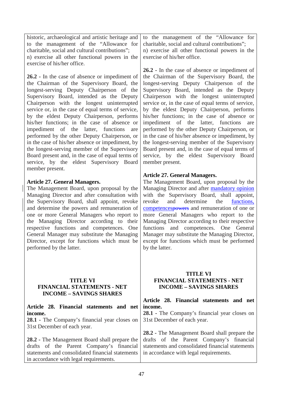historic, archaeological and artistic heritage and to the management of the "Allowance for charitable, social and cultural contributions"; n) exercise all other functional powers in the exercise of his/her office.

**26.2 -** In the case of absence or impediment of the Chairman of the Supervisory Board, the longest-serving Deputy Chairperson of the Supervisory Board, intended as the Deputy Chairperson with the longest uninterrupted service or, in the case of equal terms of service, by the eldest Deputy Chairperson, performs his/her functions; in the case of absence or impediment of the latter, functions are performed by the other Deputy Chairperson, or in the case of his/her absence or impediment, by the longest-serving member of the Supervisory Board present and, in the case of equal terms of service, by the eldest Supervisory Board member present.

### **Article 27. General Managers.**

The Management Board, upon proposal by the Managing Director and after consultation with the Supervisory Board, shall appoint, revoke and determine the powers and remuneration of one or more General Managers who report to the Managing Director according to their respective functions and competences. One General Manager may substitute the Managing Director, except for functions which must be performed by the latter.

### **TITLE VI FINANCIAL STATEMENTS - NET INCOME – SAVINGS SHARES**

**Article 28. Financial statements and net income.**

**28.1 -** The Company's financial year closes on 31st December of each year.

**28.2 -** The Management Board shall prepare the drafts of the Parent Company's financial statements and consolidated financial statements in accordance with legal requirements.

to the management of the "Allowance for charitable, social and cultural contributions";

n) exercise all other functional powers in the exercise of his/her office.

**26.2 -** In the case of absence or impediment of the Chairman of the Supervisory Board, the longest-serving Deputy Chairperson of the Supervisory Board, intended as the Deputy Chairperson with the longest uninterrupted service or, in the case of equal terms of service, by the eldest Deputy Chairperson, performs his/her functions; in the case of absence or impediment of the latter, functions are performed by the other Deputy Chairperson, or in the case of his/her absence or impediment, by the longest-serving member of the Supervisory Board present and, in the case of equal terms of service, by the eldest Supervisory Board member present.

### **Article 27. General Managers.**

The Management Board, upon proposal by the Managing Director and after mandatory opinion with the Supervisory Board, shall appoint,<br>revoke and determine the functions. revoke and determine the functions, competencespowers and remuneration of one or more General Managers who report to the Managing Director according to their respective functions and competences. One General Manager may substitute the Managing Director, except for functions which must be performed by the latter.

### **TITLE VI FINANCIAL STATEMENTS - NET INCOME – SAVINGS SHARES**

### **Article 28. Financial statements and net income.**

**28.1 -** The Company's financial year closes on 31st December of each year.

**28.2 -** The Management Board shall prepare the drafts of the Parent Company's financial statements and consolidated financial statements in accordance with legal requirements.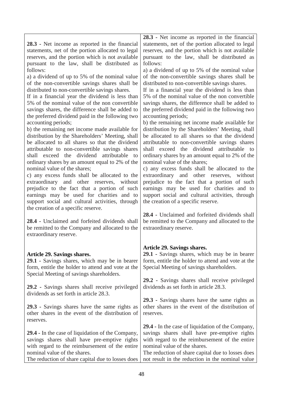|                                                                                                    | 28.3 - Net income as reported in the financial                                                      |
|----------------------------------------------------------------------------------------------------|-----------------------------------------------------------------------------------------------------|
| 28.3 - Net income as reported in the financial                                                     | statements, net of the portion allocated to legal                                                   |
| statements, net of the portion allocated to legal                                                  | reserves, and the portion which is not available                                                    |
| reserves, and the portion which is not available                                                   | pursuant to the law, shall be distributed as                                                        |
| pursuant to the law, shall be distributed as                                                       | follows:                                                                                            |
| follows:                                                                                           | a) a dividend of up to 5% of the nominal value                                                      |
| a) a dividend of up to 5% of the nominal value                                                     | of the non-convertible savings shares shall be                                                      |
| of the non-convertible savings shares shall be                                                     | distributed to non-convertible savings shares.                                                      |
| distributed to non-convertible savings shares.<br>If in a financial year the dividend is less than | If in a financial year the dividend is less than<br>5% of the nominal value of the non convertible  |
| 5% of the nominal value of the non convertible                                                     | savings shares, the difference shall be added to                                                    |
| savings shares, the difference shall be added to                                                   | the preferred dividend paid in the following two                                                    |
| the preferred dividend paid in the following two                                                   | accounting periods;                                                                                 |
| accounting periods;                                                                                | b) the remaining net income made available for                                                      |
| b) the remaining net income made available for                                                     | distribution by the Shareholders' Meeting, shall                                                    |
| distribution by the Shareholders' Meeting, shall                                                   | be allocated to all shares so that the dividend                                                     |
| be allocated to all shares so that the dividend                                                    | attributable to non-convertible savings shares                                                      |
| attributable to non-convertible savings shares                                                     | shall exceed the dividend attributable to                                                           |
| dividend<br>shall exceed the<br>attributable<br>to                                                 | ordinary shares by an amount equal to 2% of the                                                     |
| ordinary shares by an amount equal to 2% of the                                                    | nominal value of the shares;                                                                        |
| nominal value of the shares;                                                                       | c) any excess funds shall be allocated to the                                                       |
| c) any excess funds shall be allocated to the                                                      | extraordinary and other reserves, without                                                           |
| extraordinary and other reserves, without<br>prejudice to the fact that a portion of such          | prejudice to the fact that a portion of such<br>earnings may be used for charities and to           |
| earnings may be used for charities and to                                                          | support social and cultural activities, through                                                     |
| support social and cultural activities, through                                                    | the creation of a specific reserve.                                                                 |
| the creation of a specific reserve.                                                                |                                                                                                     |
|                                                                                                    | 28.4 - Unclaimed and forfeited dividends shall                                                      |
| 28.4 - Unclaimed and forfeited dividends shall                                                     | be remitted to the Company and allocated to the                                                     |
| be remitted to the Company and allocated to the                                                    | extraordinary reserve.                                                                              |
| extraordinary reserve.                                                                             |                                                                                                     |
|                                                                                                    |                                                                                                     |
|                                                                                                    | Article 29. Savings shares.                                                                         |
| <b>Article 29. Savings shares.</b><br>29.1 - Savings shares, which may be in bearer                | 29.1 - Savings shares, which may be in bearer<br>form, entitle the holder to attend and vote at the |
| form, entitle the holder to attend and vote at the                                                 | Special Meeting of savings shareholders.                                                            |
| Special Meeting of savings shareholders.                                                           |                                                                                                     |
|                                                                                                    | 29.2 - Savings shares shall receive privileged                                                      |
| 29.2 - Savings shares shall receive privileged                                                     | dividends as set forth in article 28.3.                                                             |
| dividends as set forth in article 28.3.                                                            |                                                                                                     |
|                                                                                                    | 29.3 - Savings shares have the same rights as                                                       |
| 29.3 - Savings shares have the same rights as                                                      | other shares in the event of the distribution of                                                    |
| other shares in the event of the distribution of                                                   | reserves.                                                                                           |
| reserves.                                                                                          |                                                                                                     |
|                                                                                                    | 29.4 - In the case of liquidation of the Company,                                                   |
| <b>29.4</b> - In the case of liquidation of the Company,                                           | savings shares shall have pre-emptive rights                                                        |
| savings shares shall have pre-emptive rights                                                       | with regard to the reimbursement of the entire                                                      |
| with regard to the reimbursement of the entire                                                     | nominal value of the shares.                                                                        |
| nominal value of the shares.                                                                       | The reduction of share capital due to losses does                                                   |
| The reduction of share capital due to losses does                                                  | not result in the reduction in the nominal value                                                    |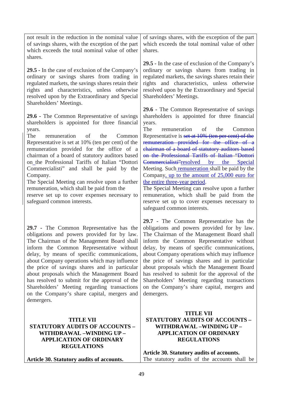| <b>TITLE VII</b><br><b>STATUTORY AUDITS OF ACCOUNTS -</b><br>WITHDRAWAL -WINDING UP -<br><b>APPLICATION OF ORDINARY</b><br><b>REGULATIONS</b>                                                                                                                                                                                                                                                                                                                                                                                                                                                                                    | <b>TITLE VII</b><br><b>STATUTORY AUDITS OF ACCOUNTS -</b><br>WITHDRAWAL -WINDING UP -<br><b>APPLICATION OF ORDINARY</b><br><b>REGULATIONS</b><br>Article 30. Statutory audits of accounts.                                                                                                                                                                                                                                                                                                                                                                                                                                                                                                                                        |
|----------------------------------------------------------------------------------------------------------------------------------------------------------------------------------------------------------------------------------------------------------------------------------------------------------------------------------------------------------------------------------------------------------------------------------------------------------------------------------------------------------------------------------------------------------------------------------------------------------------------------------|-----------------------------------------------------------------------------------------------------------------------------------------------------------------------------------------------------------------------------------------------------------------------------------------------------------------------------------------------------------------------------------------------------------------------------------------------------------------------------------------------------------------------------------------------------------------------------------------------------------------------------------------------------------------------------------------------------------------------------------|
| 29.7 - The Common Representative has the<br>obligations and powers provided for by law.<br>The Chairman of the Management Board shall<br>inform the Common Representative without<br>delay, by means of specific communications,<br>about Company operations which may influence<br>the price of savings shares and in particular<br>about proposals which the Management Board<br>has resolved to submit for the approval of the<br>Shareholders' Meeting regarding transactions<br>on the Company's share capital, mergers and<br>demergers.                                                                                   | 29.7 - The Common Representative has the<br>obligations and powers provided for by law.<br>The Chairman of the Management Board shall<br>inform the Common Representative without<br>delay, by means of specific communications,<br>about Company operations which may influence<br>the price of savings shares and in particular<br>about proposals which the Management Board<br>has resolved to submit for the approval of the<br>Shareholders' Meeting regarding transactions<br>on the Company's share capital, mergers and<br>demergers.                                                                                                                                                                                    |
| Shareholders' Meetings.<br>29.6 - The Common Representative of savings<br>shareholders is appointed for three financial<br>years.<br>The<br>of<br>remuneration<br>the<br>Common<br>Representative is set at 10% (ten per cent) of the<br>remuneration provided for the office of a<br>chairman of a board of statutory auditors based<br>on the Professional Tariffs of Italian "Dottori<br>Commercialisti" and shall be paid by the<br>Company.<br>The Special Meeting can resolve upon a further<br>remuneration, which shall be paid from the<br>reserve set up to cover expenses necessary to<br>safeguard common interests. | 29.6 - The Common Representative of savings<br>shareholders is appointed for three financial<br>years.<br>The<br>remuneration<br>of<br>the<br>Common<br>Representative is set at 10% (ten per cent) of the<br>remuneration provided for the office of a<br>chairman of a board of statutory auditors based<br>on the Professional Tariffs of Italian "Dottori<br>Commercialisti"resolved by<br>the<br>Special<br>Meeting. Such remuneration shall be paid by the<br>Company, up to the amount of 25,000 euro for<br>the entire three-year period.<br>The Special Meeting can resolve upon a further<br>remuneration, which shall be paid from the<br>reserve set up to cover expenses necessary to<br>safeguard common interests. |
| 29.5 - In the case of exclusion of the Company's<br>ordinary or savings shares from trading in<br>regulated markets, the savings shares retain their<br>rights and characteristics, unless otherwise<br>resolved upon by the Extraordinary and Special                                                                                                                                                                                                                                                                                                                                                                           | 29.5 - In the case of exclusion of the Company's<br>ordinary or savings shares from trading in<br>regulated markets, the savings shares retain their<br>rights and characteristics, unless otherwise<br>resolved upon by the Extraordinary and Special<br>Shareholders' Meetings.                                                                                                                                                                                                                                                                                                                                                                                                                                                 |
| not result in the reduction in the nominal value<br>of savings shares, with the exception of the part<br>which exceeds the total nominal value of other<br>shares.                                                                                                                                                                                                                                                                                                                                                                                                                                                               | of savings shares, with the exception of the part<br>which exceeds the total nominal value of other<br>shares.                                                                                                                                                                                                                                                                                                                                                                                                                                                                                                                                                                                                                    |

**Article 30. Statutory audits of accounts.**

The statutory audits of the accounts shall be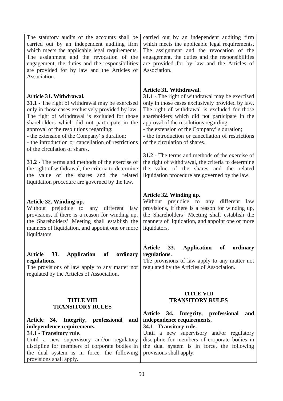The statutory audits of the accounts shall be carried out by an independent auditing firm which meets the applicable legal requirements. The assignment and the revocation of the engagement, the duties and the responsibilities are provided for by law and the Articles of Association.

# **Article 31. Withdrawal.**

**31.1 -** The right of withdrawal may be exercised only in those cases exclusively provided by law. The right of withdrawal is excluded for those shareholders which did not participate in the approval of the resolutions regarding:

- the extension of the Company' s duration;

- the introduction or cancellation of restrictions of the circulation of shares.

**31.2 -** The terms and methods of the exercise of the right of withdrawal, the criteria to determine the value of the shares and the related liquidation procedure are governed by the law.

# **Article 32. Winding up.**

Without prejudice to any different law provisions, if there is a reason for winding up, the Shareholders' Meeting shall establish the manners of liquidation, and appoint one or more liquidators.

### **Article 33. Application of ordinary regulations.**

The provisions of law apply to any matter not regulated by the Articles of Association.

### **TITLE VIII TRANSITORY RULES**

# **Article 34. Integrity, professional and independence requirements.**

**34.1 - Transitory rule.** Until a new supervisory and/or regulatory discipline for members of corporate bodies in the dual system is in force, the following provisions shall apply.

carried out by an independent auditing firm which meets the applicable legal requirements. The assignment and the revocation of the engagement, the duties and the responsibilities are provided for by law and the Articles of Association.

# **Article 31. Withdrawal.**

**31.1 -** The right of withdrawal may be exercised only in those cases exclusively provided by law. The right of withdrawal is excluded for those shareholders which did not participate in the approval of the resolutions regarding:

- the extension of the Company' s duration;

- the introduction or cancellation of restrictions of the circulation of shares.

**31.2 -** The terms and methods of the exercise of the right of withdrawal, the criteria to determine the value of the shares and the related liquidation procedure are governed by the law.

# **Article 32. Winding up.**

Without prejudice to any different law provisions, if there is a reason for winding up, the Shareholders' Meeting shall establish the manners of liquidation, and appoint one or more liquidators.

# **Article 33. Application of ordinary regulations.**

The provisions of law apply to any matter not regulated by the Articles of Association.

### **TITLE VIII TRANSITORY RULES**

# **Article 34. Integrity, professional and independence requirements.**

**34.1 - Transitory rule.**

Until a new supervisory and/or regulatory discipline for members of corporate bodies in the dual system is in force, the following provisions shall apply.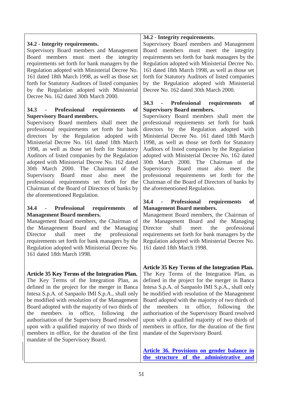# **34.2 - Integrity requirements.**

Supervisory Board members and Management Board members must meet the integrity requirements set forth for bank managers by the Regulation adopted with Ministerial Decree No. 161 dated 18th March 1998, as well as those set forth for Statutory Auditors of listed companies by the Regulation adopted with Ministerial Decree No. 162 dated 30th March 2000.

### **34.3 - Professional requirements of Supervisory Board members.**

Supervisory Board members shall meet the professional requirements set forth for bank directors by the Regulation adopted with Ministerial Decree No. 161 dated 18th March 1998, as well as those set forth for Statutory Auditors of listed companies by the Regulation adopted with Ministerial Decree No. 162 dated 30th March 2000. The Chairman of the Supervisory Board must also meet the professional requirements set forth for the Chairman of the Board of Directors of banks by the aforementioned Regulation.

### **34.4 - Professional requirements of Management Board members.**

Management Board members, the Chairman of the Management Board and the Managing Director shall meet the professional requirements set forth for bank managers by the Regulation adopted with Ministerial Decree No. 161 dated 18th March 1998.

# **Article 35 Key Terms of the Integration Plan.**

The Key Terms of the Integration Plan, as defined in the project for the merger in Banca Intesa S.p.A. of Sanpaolo IMI S.p.A., shall only be modified with resolution of the Management Board adopted with the majority of two thirds of the members in office, following the authorisation of the Supervisory Board resolved upon with a qualified majority of two thirds of members in office, for the duration of the first mandate of the Supervisory Board.

### **34.2 - Integrity requirements.**

Supervisory Board members and Management Board members must meet the integrity requirements set forth for bank managers by the Regulation adopted with Ministerial Decree No. 161 dated 18th March 1998, as well as those set forth for Statutory Auditors of listed companies by the Regulation adopted with Ministerial Decree No. 162 dated 30th March 2000.

### **34.3 - Professional requirements of Supervisory Board members.**

Supervisory Board members shall meet the professional requirements set forth for bank directors by the Regulation adopted with Ministerial Decree No. 161 dated 18th March 1998, as well as those set forth for Statutory Auditors of listed companies by the Regulation adopted with Ministerial Decree No. 162 dated 30th March 2000. The Chairman of the Supervisory Board must also meet the professional requirements set forth for the Chairman of the Board of Directors of banks by the aforementioned Regulation.

### **34.4 - Professional requirements of Management Board members.**

Management Board members, the Chairman of the Management Board and the Managing Director shall meet the professional requirements set forth for bank managers by the Regulation adopted with Ministerial Decree No. 161 dated 18th March 1998.

**Article 35 Key Terms of the Integration Plan.** The Key Terms of the Integration Plan, as defined in the project for the merger in Banca Intesa S.p.A. of Sanpaolo IMI S.p.A., shall only be modified with resolution of the Management Board adopted with the majority of two thirds of the members in office, following the authorisation of the Supervisory Board resolved upon with a qualified majority of two thirds of members in office, for the duration of the first mandate of the Supervisory Board.

**Article 36. Provisions on gender balance in the structure of the administrative and**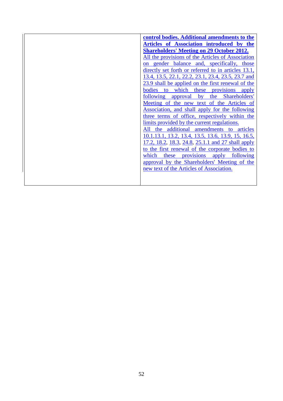| control bodies. Additional amendments to the                             |
|--------------------------------------------------------------------------|
| Articles of Association introduced by the                                |
| <b>Shareholders' Meeting on 29 October 2012.</b>                         |
| All the provisions of the Articles of Association                        |
| gender balance and, specifically, those<br>on                            |
| directly set forth or referred to in articles 13.1,                      |
| 13.4, 13.5, 22.1, 22.2, 23.1, 23.4, 23.5, 23.7 and                       |
| 23.9 shall be applied on the first renewal of the                        |
| provisions<br>which<br>bodies<br>these<br>to<br>apply                    |
| Shareholders'<br>following<br>$\mathbf{b} \mathbf{v}$<br>the<br>approval |
| Meeting of the new text of the Articles of                               |
| Association, and shall apply for the following                           |
| three terms of office, respectively within the                           |
| limits provided by the current regulations.                              |
| additional<br>amendments to articles<br>All<br>the                       |
| 10.1, 13.1, 13.2, 13.4, 13.5, 13.6, 13.9, 15, 16.5,                      |
| 17.2, 18.2, 18.3, 24.8, 25.1.1 and 27 shall apply                        |
| to the first renewal of the corporate bodies to                          |
| which<br>following<br>these<br>provisions apply                          |
| approval by the Shareholders' Meeting of the                             |
| new text of the Articles of Association.                                 |
|                                                                          |
|                                                                          |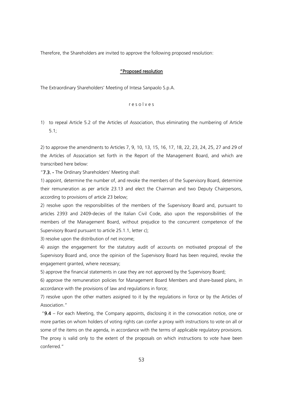Therefore, the Shareholders are invited to approve the following proposed resolution:

#### "Proposed resolution

The Extraordinary Shareholders' Meeting of Intesa Sanpaolo S.p.A.

#### r e s o l v e s

1) to repeal Article 5.2 of the Articles of Association, thus eliminating the numbering of Article 5.1;

2) to approve the amendments to Articles 7, 9, 10, 13, 15, 16, 17, 18, 22, 23, 24, 25, 27 and 29 of the Articles of Association set forth in the Report of the Management Board, and which are transcribed here below:

"7.3. - The Ordinary Shareholders' Meeting shall:

1) appoint, determine the number of, and revoke the members of the Supervisory Board, determine their remuneration as per article 23.13 and elect the Chairman and two Deputy Chairpersons, according to provisions of article 23 below;

2) resolve upon the responsibilities of the members of the Supervisory Board and, pursuant to articles 2393 and 2409-decies of the Italian Civil Code, also upon the responsibilities of the members of the Management Board, without prejudice to the concurrent competence of the Supervisory Board pursuant to article 25.1.1, letter c);

3) resolve upon the distribution of net income;

4) assign the engagement for the statutory audit of accounts on motivated proposal of the Supervisory Board and, once the opinion of the Supervisory Board has been required, revoke the engagement granted, where necessary;

5) approve the financial statements in case they are not approved by the Supervisory Board;

6) approve the remuneration policies for Management Board Members and share-based plans, in accordance with the provisions of law and regulations in force;

7) resolve upon the other matters assigned to it by the regulations in force or by the Articles of Association."

" $9.4$  – For each Meeting, the Company appoints, disclosing it in the convocation notice, one or more parties on whom holders of voting rights can confer a proxy with instructions to vote on all or some of the items on the agenda, in accordance with the terms of applicable regulatory provisions. The proxy is valid only to the extent of the proposals on which instructions to vote have been conferred."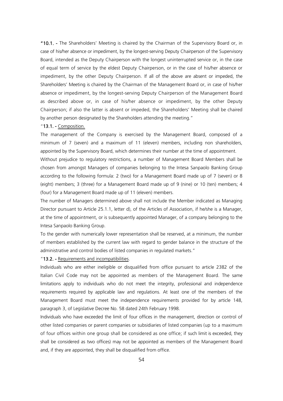"10.1. - The Shareholders' Meeting is chaired by the Chairman of the Supervisory Board or, in case of his/her absence or impediment, by the longest-serving Deputy Chairperson of the Supervisory Board, intended as the Deputy Chairperson with the longest uninterrupted service or, in the case of equal term of service by the eldest Deputy Chairperson, or in the case of his/her absence or impediment, by the other Deputy Chairperson. If all of the above are absent or impeded, the Shareholders' Meeting is chaired by the Chairman of the Management Board or, in case of his/her absence or impediment, by the longest-serving Deputy Chairperson of the Management Board as described above or, in case of his/her absence or impediment, by the other Deputy Chairperson; if also the latter is absent or impeded, the Shareholders' Meeting shall be chaired by another person designated by the Shareholders attending the meeting."

#### "13.1. - Composition.

The management of the Company is exercised by the Management Board, composed of a minimum of 7 (seven) and a maximum of 11 (eleven) members, including non shareholders, appointed by the Supervisory Board, which determines their number at the time of appointment.

Without prejudice to regulatory restrictions, a number of Management Board Members shall be chosen from amongst Managers of companies belonging to the Intesa Sanpaolo Banking Group according to the following formula: 2 (two) for a Management Board made up of 7 (seven) or 8 (eight) members; 3 (three) for a Management Board made up of 9 (nine) or 10 (ten) members; 4 (four) for a Management Board made up of 11 (eleven) members.

The number of Managers determined above shall not include the Member indicated as Managing Director pursuant to Article 25.1.1, letter d), of the Articles of Association, if he/she is a Manager, at the time of appointment, or is subsequently appointed Manager, of a company belonging to the Intesa Sanpaolo Banking Group.

To the gender with numerically lower representation shall be reserved, at a minimum, the number of members established by the current law with regard to gender balance in the structure of the administrative and control bodies of listed companies in regulated markets."

"13.2. - Requirements and incompatibilities.

Individuals who are either ineligible or disqualified from office pursuant to article 2382 of the Italian Civil Code may not be appointed as members of the Management Board. The same limitations apply to individuals who do not meet the integrity, professional and independence requirements required by applicable law and regulations. At least one of the members of the Management Board must meet the independence requirements provided for by article 148, paragraph 3, of Legislative Decree No. 58 dated 24th February 1998.

Individuals who have exceeded the limit of four offices in the management, direction or control of other listed companies or parent companies or subsidiaries of listed companies (up to a maximum of four offices within one group shall be considered as one office; if such limit is exceeded, they shall be considered as two offices) may not be appointed as members of the Management Board and, if they are appointed, they shall be disqualified from office.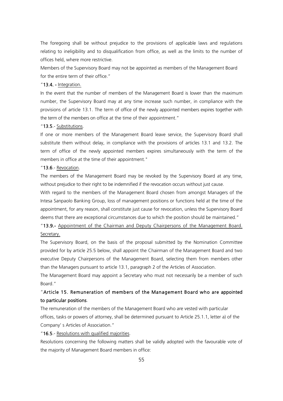The foregoing shall be without prejudice to the provisions of applicable laws and regulations relating to ineligibility and to disqualification from office, as well as the limits to the number of offices held, where more restrictive.

Members of the Supervisory Board may not be appointed as members of the Management Board for the entire term of their office."

#### "13.4. - Integration.

In the event that the number of members of the Management Board is lower than the maximum number, the Supervisory Board may at any time increase such number, in compliance with the provisions of article 13.1. The term of office of the newly appointed members expires together with the term of the members on office at the time of their appointment."

#### "13.5.- Substitutions.

If one or more members of the Management Board leave service, the Supervisory Board shall substitute them without delay, in compliance with the provisions of articles 13.1 and 13.2. The term of office of the newly appointed members expires simultaneously with the term of the members in office at the time of their appointment."

#### "13.6.- Revocation.

The members of the Management Board may be revoked by the Supervisory Board at any time, without prejudice to their right to be indemnified if the revocation occurs without just cause.

With regard to the members of the Management Board chosen from amongst Managers of the Intesa Sanpaolo Banking Group, loss of management positions or functions held at the time of the appointment, for any reason, shall constitute just cause for revocation, unless the Supervisory Board deems that there are exceptional circumstances due to which the position should be maintained."

# "13.9.- Appointment of the Chairman and Deputy Chairpersons of the Management Board. Secretary.

The Supervisory Board, on the basis of the proposal submitted by the Nomination Committee provided for by article 25.5 below, shall appoint the Chairman of the Management Board and two executive Deputy Chairpersons of the Management Board, selecting them from members other than the Managers pursuant to article 13.1, paragraph 2 of the Articles of Association.

The Management Board may appoint a Secretary who must not necessarily be a member of such Board."

### "Article 15. Remuneration of members of the Management Board who are appointed to particular positions.

The remuneration of the members of the Management Board who are vested with particular offices, tasks or powers of attorney, shall be determined pursuant to Article 25.1.1, letter a) of the Company' s Articles of Association."

"16.5.- Resolutions with qualified majorities.

Resolutions concerning the following matters shall be validly adopted with the favourable vote of the majority of Management Board members in office: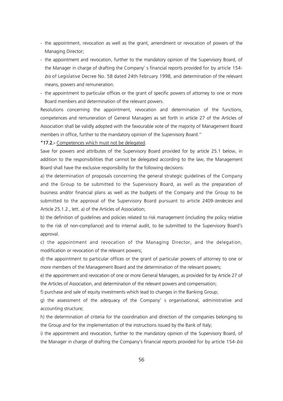- the appointment, revocation as well as the grant, amendment or revocation of powers of the Managing Director;
- the appointment and revocation, further to the mandatory opinion of the Supervisory Board, of the Manager in charge of drafting the Company' s financial reports provided for by article 154 bis of Legislative Decree No. 58 dated 24th February 1998, and determination of the relevant means, powers and remuneration.
- the appointment to particular offices or the grant of specific powers of attorney to one or more Board members and determination of the relevant powers.

Resolutions concerning the appointment, revocation and determination of the functions, competences and remuneration of General Managers as set forth in article 27 of the Articles of Association shall be validly adopted with the favourable vote of the majority of Management Board members in office, further to the mandatory opinion of the Supervisory Board."

#### "17.2.- Competences which must not be delegated.

Save for powers and attributes of the Supervisory Board provided for by article 25.1 below, in addition to the responsibilities that cannot be delegated according to the law, the Management Board shall have the exclusive responsibility for the following decisions:

a) the determination of proposals concerning the general strategic guidelines of the Company and the Group to be submitted to the Supervisory Board, as well as the preparation of business and/or financial plans as well as the budgets of the Company and the Group to be submitted to the approval of the Supervisory Board pursuant to article 2409-terdecies and Article 25.1.2., lett. a) of the Articles of Association;

b) the definition of guidelines and policies related to risk management (including the policy relative to the risk of non-compliance) and to internal audit, to be submitted to the Supervisory Board's approval.

c) the appointment and revocation of the Managing Director, and the delegation, modification or revocation of the relevant powers;

d) the appointment to particular offices or the grant of particular powers of attorney to one or more members of the Management Board and the determination of the relevant powers;

e) the appointment and revocation of one or more General Managers, as provided for by Article 27 of the Articles of Association, and determination of the relevant powers and compensation;

f) purchase and sale of equity investments which lead to changes in the Banking Group;

g) the assessment of the adequacy of the Company' s organisational, administrative and accounting structure;

h) the determination of criteria for the coordination and direction of the companies belonging to the Group and for the implementation of the instructions issued by the Bank of Italy;

i) the appointment and revocation, further to the mandatory opinion of the Supervisory Board, of the Manager in charge of drafting the Company's financial reports provided for by article 154-bis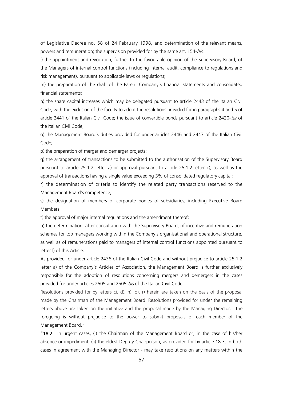of Legislative Decree no. 58 of 24 February 1998, and determination of the relevant means, powers and remuneration; the supervision provided for by the same art. 154-bis.

l) the appointment and revocation, further to the favourable opinion of the Supervisory Board, of the Managers of internal control functions (including internal audit, compliance to regulations and risk management), pursuant to applicable laws or regulations;

m) the preparation of the draft of the Parent Company's financial statements and consolidated financial statements;

n) the share capital increases which may be delegated pursuant to article 2443 of the Italian Civil Code, with the exclusion of the faculty to adopt the resolutions provided for in paragraphs 4 and 5 of article 2441 of the Italian Civil Code; the issue of convertible bonds pursuant to article 2420-ter of the Italian Civil Code;

o) the Management Board's duties provided for under articles 2446 and 2447 of the Italian Civil Code;

p) the preparation of merger and demerger projects;

q) the arrangement of transactions to be submitted to the authorisation of the Supervisory Board pursuant to article 25.1.2 letter a) or approval pursuant to article 25.1.2 letter c), as well as the approval of transactions having a single value exceeding 3% of consolidated regulatory capital;

r) the determination of criteria to identify the related party transactions reserved to the Management Board's competence;

s) the designation of members of corporate bodies of subsidiaries, including Executive Board Members;

t) the approval of major internal regulations and the amendment thereof;

u) the determination, after consultation with the Supervisory Board, of incentive and remuneration schemes for top managers working within the Company's organisational and operational structure, as well as of remunerations paid to managers of internal control functions appointed pursuant to letter l) of this Article.

As provided for under article 2436 of the Italian Civil Code and without prejudice to article 25.1.2 letter a) of the Company's Articles of Association, the Management Board is further exclusively responsible for the adoption of resolutions concerning mergers and demergers in the cases provided for under articles 2505 and 2505-bis of the Italian Civil Code.

Resolutions provided for by letters c), d), n), o), r) herein are taken on the basis of the proposal made by the Chairman of the Management Board. Resolutions provided for under the remaining letters above are taken on the initiative and the proposal made by the Managing Director. The foregoing is without prejudice to the power to submit proposals of each member of the Management Board."

"18.2.- In urgent cases, (i) the Chairman of the Management Board or, in the case of his/her absence or impediment, (ii) the eldest Deputy Chairperson, as provided for by article 18.3, in both cases in agreement with the Managing Director - may take resolutions on any matters within the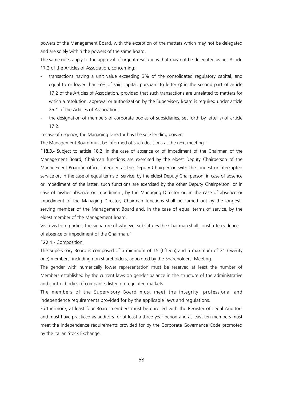powers of the Management Board, with the exception of the matters which may not be delegated and are solely within the powers of the same Board.

The same rules apply to the approval of urgent resolutions that may not be delegated as per Article 17.2 of the Articles of Association, concerning:

- transactions having a unit value exceeding 3% of the consolidated regulatory capital, and equal to or lower than 6% of said capital, pursuant to letter q) in the second part of article 17.2 of the Articles of Association, provided that such transactions are unrelated to matters for which a resolution, approval or authorization by the Supervisory Board is required under article 25.1 of the Articles of Association;
- the designation of members of corporate bodies of subsidiaries, set forth by letter s) of article 17.2.

In case of urgency, the Managing Director has the sole lending power.

The Management Board must be informed of such decisions at the next meeting."

"18.3.- Subject to article 18.2, in the case of absence or of impediment of the Chairman of the Management Board, Chairman functions are exercised by the eldest Deputy Chairperson of the Management Board in office, intended as the Deputy Chairperson with the longest uninterrupted service or, in the case of equal terms of service, by the eldest Deputy Chairperson; in case of absence or impediment of the latter, such functions are exercised by the other Deputy Chairperson, or in case of his/her absence or impediment, by the Managing Director or, in the case of absence or impediment of the Managing Director, Chairman functions shall be carried out by the longestserving member of the Management Board and, in the case of equal terms of service, by the eldest member of the Management Board.

Vis-à-vis third parties, the signature of whoever substitutes the Chairman shall constitute evidence of absence or impediment of the Chairman."

#### "22.1.- Composition.

The Supervisory Board is composed of a minimum of 15 (fifteen) and a maximum of 21 (twenty one) members, including non shareholders, appointed by the Shareholders' Meeting.

The gender with numerically lower representation must be reserved at least the number of Members established by the current laws on gender balance in the structure of the administrative and control bodies of companies listed on regulated markets.

The members of the Supervisory Board must meet the integrity, professional and independence requirements provided for by the applicable laws and regulations.

Furthermore, at least four Board members must be enrolled with the Register of Legal Auditors and must have practiced as auditors for at least a three-year period and at least ten members must meet the independence requirements provided for by the Corporate Governance Code promoted by the Italian Stock Exchange.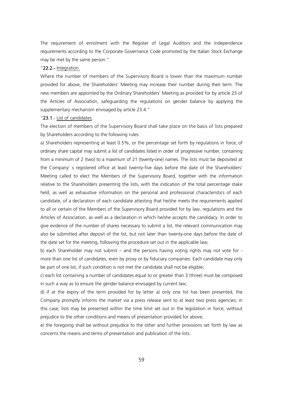The requirement of enrolment with the Register of Legal Auditors and the independence requirements according to the Corporate Governance Code promoted by the Italian Stock Exchange may be met by the same person."

#### "22.2.- Integration.

Where the number of members of the Supervisory Board is lower than the maximum number provided for above, the Shareholders' Meeting may increase their number during their term. The new members are appointed by the Ordinary Shareholders' Meeting as provided for by article 23 of the Articles of Association, safeguarding the regulations on gender balance by applying the supplementary mechanism envisaged by article 23.4."

#### "23.1.- List of candidates.

The election of members of the Supervisory Board shall take place on the basis of lists prepared by Shareholders according to the following rules:

a) Shareholders representing at least 0.5%, or the percentage set forth by regulations in force, of ordinary share capital may submit a list of candidates listed in order of progressive number, containing from a minimum of 2 (two) to a maximum of 21 (twenty-one) names. The lists must be deposited at the Company' s registered office at least twenty-five days before the date of the Shareholders' Meeting called to elect the Members of the Supervisory Board, together with the information relative to the Shareholders presenting the lists, with the indication of the total percentage stake held, as well as exhaustive information on the personal and professional characteristics of each candidate, of a declaration of each candidate attesting that he/she meets the requirements applied to all or certain of the Members of the Supervisory Board provided for by law, regulations and the Articles of Association, as well as a declaration in which he/she accepts the candidacy. In order to give evidence of the number of shares necessary to submit a list, the relevant communication may also be submitted after deposit of the list, but not later than twenty-one days before the date of the date set for the meeting, following the procedure set out in the applicable law;

b) each Shareholder may not submit – and the persons having voting rights may not vote for more than one list of candidates, even by proxy or by fiduciary companies. Each candidate may only be part of one list, if such condition is not met the candidate shall not be eligible;

c) each list containing a number of candidates equal to or greater than 3 (three) must be composed in such a way as to ensure the gender balance envisaged by current law;

d) if at the expiry of the term provided for by letter a) only one list has been presented, the Company promptly informs the market via a press release sent to at least two press agencies; in this case, lists may be presented within the time limit set out in the legislation in force, without prejudice to the other conditions and means of presentation provided for above;

e) the foregoing shall be without prejudice to the other and further provisions set forth by law as concerns the means and terms of presentation and publication of the lists.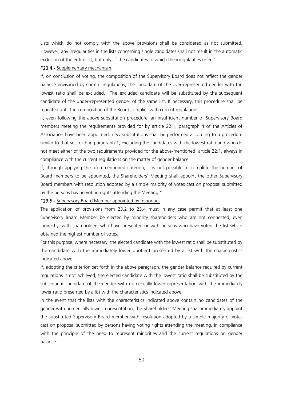Lists which do not comply with the above provisions shall be considered as not submitted. However, any irregularities in the lists concerning single candidates shall not result in the automatic exclusion of the entire list, but only of the candidates to which the irregularities refer."

#### "23.4.- Supplementary mechanism.

If, on conclusion of voting, the composition of the Supervisory Board does not reflect the gender balance envisaged by current regulations, the candidate of the over-represented gender with the lowest ratio shall be excluded. The excluded candidate will be substituted by the subsequent candidate of the under-represented gender of the same list. If necessary, this procedure shall be repeated until the composition of the Board complies with current regulations.

If, even following the above substitution procedure, an insufficient number of Supervisory Board members meeting the requirements provided for by article 22.1, paragraph 4 of the Articles of Association have been appointed, new substitutions shall be performed according to a procedure similar to that set forth in paragraph 1, excluding the candidates with the lowest ratio and who do not meet either of the two requirements provided for the above-mentioned article 22.1, always in compliance with the current regulations on the matter of gender balance.

If, through applying the aforementioned criterion, it is not possible to complete the number of Board members to be appointed, the Shareholders' Meeting shall appoint the other Supervisory Board members with resolution adopted by a simple majority of votes cast on proposal submitted by the persons having voting rights attending the Meeting."

#### "23.5.- Supervisory Board Member appointed by minorities

The application of provisions from 23.2 to 23.4 must in any case permit that at least one Supervisory Board Member be elected by minority shareholders who are not connected, even indirectly, with shareholders who have presented or with persons who have voted the list which obtained the highest number of votes.

For this purpose, where necessary, the elected candidate with the lowest ratio shall be substituted by the candidate with the immediately lower quotient presented by a list with the characteristics indicated above.

If, adopting the criterion set forth in the above paragraph, the gender balance required by current regulations is not achieved, the elected candidate with the lowest ratio shall be substituted by the subsequent candidate of the gender with numerically lower representation with the immediately lower ratio presented by a list with the characteristics indicated above.

In the event that the lists with the characteristics indicated above contain no candidates of the gender with numerically lower representation, the Shareholders' Meeting shall immediately appoint the substituted Supervisory Board member with resolution adopted by a simple majority of votes cast on proposal submitted by persons having voting rights attending the meeting, in compliance with the principle of the need to represent minorities and the current regulations on gender balance."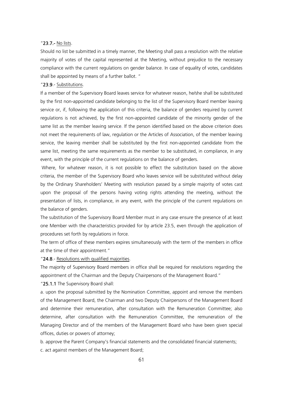#### "23.7.- No lists.

Should no list be submitted in a timely manner, the Meeting shall pass a resolution with the relative majority of votes of the capital represented at the Meeting, without prejudice to the necessary compliance with the current regulations on gender balance. In case of equality of votes, candidates shall be appointed by means of a further ballot. "

#### "23.9.- Substitutions.

If a member of the Supervisory Board leaves service for whatever reason, he/she shall be substituted by the first non-appointed candidate belonging to the list of the Supervisory Board member leaving service or, if, following the application of this criteria, the balance of genders required by current regulations is not achieved, by the first non-appointed candidate of the minority gender of the same list as the member leaving service. If the person identified based on the above criterion does not meet the requirements of law, regulation or the Articles of Association, of the member leaving service, the leaving member shall be substituted by the first non-appointed candidate from the same list, meeting the same requirements as the member to be substituted, in compilance, in any event, with the principle of the current regulations on the balance of genders.

Where, for whatever reason, it is not possible to effect the substitution based on the above criteria, the member of the Supervisory Board who leaves service will be substituted without delay by the Ordinary Shareholders' Meeting with resolution passed by a simple majority of votes cast upon the proposal of the persons having voting rights attending the meeting, without the presentation of lists, in compliance, in any event, with the principle of the current regulations on the balance of genders.

The substitution of the Supervisory Board Member must in any case ensure the presence of at least one Member with the characteristics provided for by article 23.5, even through the application of procedures set forth by regulations in force.

The term of office of these members expires simultaneously with the term of the members in office at the time of their appointment."

#### "24.8.- Resolutions with qualified majorities.

The majority of Supervisory Board members in office shall be required for resolutions regarding the appointment of the Chairman and the Deputy Chairpersons of the Management Board."

"25.1.1 The Supervisory Board shall:

a. upon the proposal submitted by the Nomination Committee, appoint and remove the members of the Management Board, the Chairman and two Deputy Chairpersons of the Management Board and determine their remuneration, after consultation with the Remuneration Committee; also determine, after consultation with the Remuneration Committee, the remuneration of the Managing Director and of the members of the Management Board who have been given special offices, duties or powers of attorney;

b. approve the Parent Company's financial statements and the consolidated financial statements; c. act against members of the Management Board;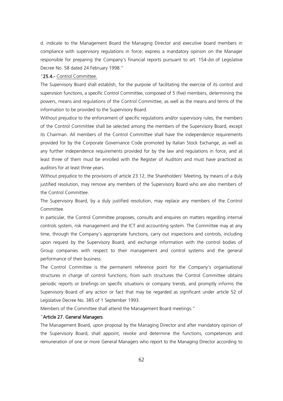d. indicate to the Management Board the Managing Director and executive board members in compliance with supervisory regulations in force; express a mandatory opinion on the Manager responsible for preparing the Company's financial reports pursuant to art. 154-bis of Legislative Decree No. 58 dated 24 February 1998."

#### "25.4.- Control Committee.

The Supervisory Board shall establish, for the purpose of facilitating the exercise of its control and supervision functions, a specific Control Committee, composed of 5 (five) members, determining the powers, means and regulations of the Control Committee, as well as the means and terms of the information to be provided to the Supervisory Board.

Without prejudice to the enforcement of specific regulations and/or supervisory rules, the members of the Control Committee shall be selected among the members of the Supervisory Board, except its Chairman. All members of the Control Committee shall have the independence requirements provided for by the Corporate Governance Code promoted by Italian Stock Exchange, as well as any further independence requirements provided for by the law and regulations in force, and at least three of them must be enrolled with the Register of Auditors and must have practiced as auditors for at least three years.

Without prejudice to the provisions of article 23.12, the Shareholders' Meeting, by means of a duly justified resolution, may remove any members of the Supervisory Board who are also members of the Control Committee.

The Supervisory Board, by a duly justified resolution, may replace any members of the Control Committee.

In particular, the Control Committee proposes, consults and enquires on matters regarding internal controls system, risk management and the ICT and accounting system. The Committee may at any time, through the Company's appropriate functions, carry out inspections and controls, including upon request by the Supervisory Board, and exchange information with the control bodies of Group companies with respect to their management and control systems and the general performance of their business.

The Control Committee is the permanent reference point for the Company's organisational structures in charge of control functions; from such structures the Control Committee obtains periodic reports or briefings on specific situations or company trends, and promptly informs the Supervisory Board of any action or fact that may be regarded as significant under article 52 of Legislative Decree No. 385 of 1 September 1993.

Members of the Committee shall attend the Management Board meetings."

#### "Article 27. General Managers.

The Management Board, upon proposal by the Managing Director and after mandatory opinion of the Supervisory Board, shall appoint, revoke and determine the functions, competences and remuneration of one or more General Managers who report to the Managing Director according to